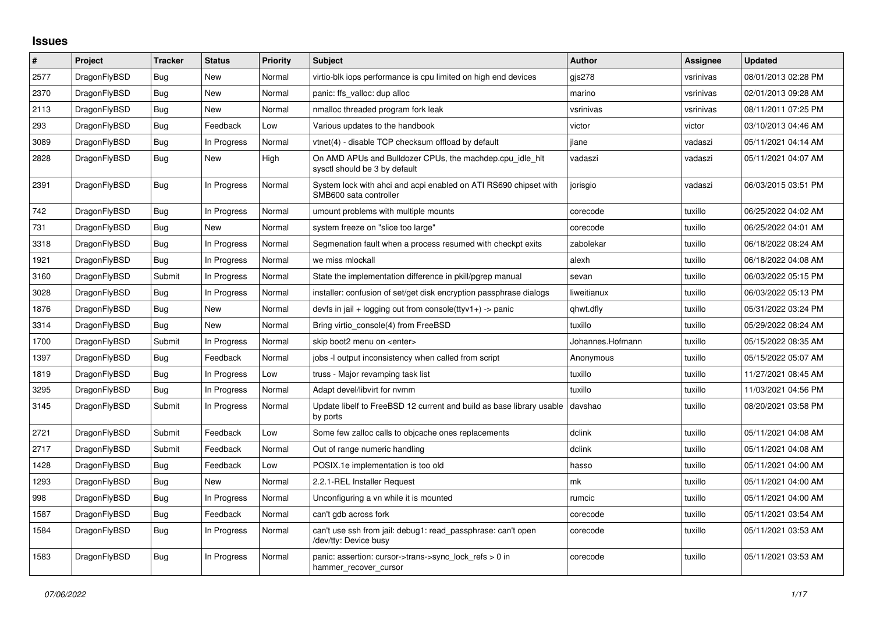## **Issues**

| $\vert$ # | Project      | <b>Tracker</b> | <b>Status</b> | Priority | <b>Subject</b>                                                                             | <b>Author</b>    | Assignee  | <b>Updated</b>      |
|-----------|--------------|----------------|---------------|----------|--------------------------------------------------------------------------------------------|------------------|-----------|---------------------|
| 2577      | DragonFlyBSD | <b>Bug</b>     | <b>New</b>    | Normal   | virtio-blk iops performance is cpu limited on high end devices                             | gjs278           | vsrinivas | 08/01/2013 02:28 PM |
| 2370      | DragonFlyBSD | Bug            | New           | Normal   | panic: ffs valloc: dup alloc                                                               | marino           | vsrinivas | 02/01/2013 09:28 AM |
| 2113      | DragonFlyBSD | Bug            | New           | Normal   | nmalloc threaded program fork leak                                                         | vsrinivas        | vsrinivas | 08/11/2011 07:25 PM |
| 293       | DragonFlyBSD | Bug            | Feedback      | Low      | Various updates to the handbook                                                            | victor           | victor    | 03/10/2013 04:46 AM |
| 3089      | DragonFlyBSD | Bug            | In Progress   | Normal   | vtnet(4) - disable TCP checksum offload by default                                         | ilane            | vadaszi   | 05/11/2021 04:14 AM |
| 2828      | DragonFlyBSD | Bug            | New           | High     | On AMD APUs and Bulldozer CPUs, the machdep.cpu idle hit<br>sysctl should be 3 by default  | vadaszi          | vadaszi   | 05/11/2021 04:07 AM |
| 2391      | DragonFlyBSD | Bug            | In Progress   | Normal   | System lock with ahci and acpi enabled on ATI RS690 chipset with<br>SMB600 sata controller | jorisgio         | vadaszi   | 06/03/2015 03:51 PM |
| 742       | DragonFlyBSD | <b>Bug</b>     | In Progress   | Normal   | umount problems with multiple mounts                                                       | corecode         | tuxillo   | 06/25/2022 04:02 AM |
| 731       | DragonFlyBSD | Bug            | New           | Normal   | system freeze on "slice too large"                                                         | corecode         | tuxillo   | 06/25/2022 04:01 AM |
| 3318      | DragonFlyBSD | Bug            | In Progress   | Normal   | Segmenation fault when a process resumed with checkpt exits                                | zabolekar        | tuxillo   | 06/18/2022 08:24 AM |
| 1921      | DragonFlyBSD | Bug            | In Progress   | Normal   | we miss mlockall                                                                           | alexh            | tuxillo   | 06/18/2022 04:08 AM |
| 3160      | DragonFlyBSD | Submit         | In Progress   | Normal   | State the implementation difference in pkill/pgrep manual                                  | sevan            | tuxillo   | 06/03/2022 05:15 PM |
| 3028      | DragonFlyBSD | Bug            | In Progress   | Normal   | installer: confusion of set/get disk encryption passphrase dialogs                         | liweitianux      | tuxillo   | 06/03/2022 05:13 PM |
| 1876      | DragonFlyBSD | Bug            | New           | Normal   | devfs in jail + logging out from console(ttyv1+) -> panic                                  | qhwt.dfly        | tuxillo   | 05/31/2022 03:24 PM |
| 3314      | DragonFlyBSD | Bug            | New           | Normal   | Bring virtio_console(4) from FreeBSD                                                       | tuxillo          | tuxillo   | 05/29/2022 08:24 AM |
| 1700      | DragonFlyBSD | Submit         | In Progress   | Normal   | skip boot2 menu on <enter></enter>                                                         | Johannes.Hofmann | tuxillo   | 05/15/2022 08:35 AM |
| 1397      | DragonFlyBSD | Bug            | Feedback      | Normal   | jobs -I output inconsistency when called from script                                       | Anonymous        | tuxillo   | 05/15/2022 05:07 AM |
| 1819      | DragonFlyBSD | Bug            | In Progress   | Low      | truss - Major revamping task list                                                          | tuxillo          | tuxillo   | 11/27/2021 08:45 AM |
| 3295      | DragonFlyBSD | <b>Bug</b>     | In Progress   | Normal   | Adapt devel/libvirt for nvmm                                                               | tuxillo          | tuxillo   | 11/03/2021 04:56 PM |
| 3145      | DragonFlyBSD | Submit         | In Progress   | Normal   | Update libelf to FreeBSD 12 current and build as base library usable<br>by ports           | davshao          | tuxillo   | 08/20/2021 03:58 PM |
| 2721      | DragonFlyBSD | Submit         | Feedback      | Low      | Some few zalloc calls to objcache ones replacements                                        | dclink           | tuxillo   | 05/11/2021 04:08 AM |
| 2717      | DragonFlyBSD | Submit         | Feedback      | Normal   | Out of range numeric handling                                                              | dclink           | tuxillo   | 05/11/2021 04:08 AM |
| 1428      | DragonFlyBSD | Bug            | Feedback      | Low      | POSIX.1e implementation is too old                                                         | hasso            | tuxillo   | 05/11/2021 04:00 AM |
| 1293      | DragonFlyBSD | Bug            | New           | Normal   | 2.2.1-REL Installer Request                                                                | mk               | tuxillo   | 05/11/2021 04:00 AM |
| 998       | DragonFlyBSD | Bug            | In Progress   | Normal   | Unconfiguring a vn while it is mounted                                                     | rumcic           | tuxillo   | 05/11/2021 04:00 AM |
| 1587      | DragonFlyBSD | Bug            | Feedback      | Normal   | can't gdb across fork                                                                      | corecode         | tuxillo   | 05/11/2021 03:54 AM |
| 1584      | DragonFlyBSD | Bug            | In Progress   | Normal   | can't use ssh from jail: debug1: read passphrase: can't open<br>/dev/tty: Device busy      | corecode         | tuxillo   | 05/11/2021 03:53 AM |
| 1583      | DragonFlyBSD | Bug            | In Progress   | Normal   | panic: assertion: cursor->trans->sync_lock_refs > 0 in<br>hammer recover cursor            | corecode         | tuxillo   | 05/11/2021 03:53 AM |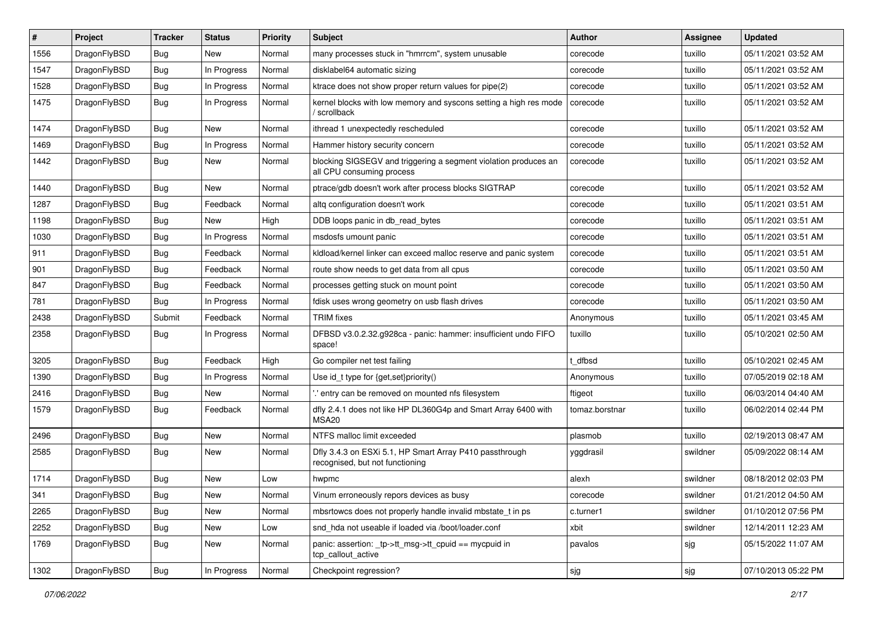| #    | Project      | <b>Tracker</b> | <b>Status</b> | <b>Priority</b> | Subject                                                                                      | <b>Author</b>  | Assignee | <b>Updated</b>      |
|------|--------------|----------------|---------------|-----------------|----------------------------------------------------------------------------------------------|----------------|----------|---------------------|
| 1556 | DragonFlyBSD | <b>Bug</b>     | New           | Normal          | many processes stuck in "hmrrcm", system unusable                                            | corecode       | tuxillo  | 05/11/2021 03:52 AM |
| 1547 | DragonFlyBSD | <b>Bug</b>     | In Progress   | Normal          | disklabel64 automatic sizing                                                                 | corecode       | tuxillo  | 05/11/2021 03:52 AM |
| 1528 | DragonFlyBSD | <b>Bug</b>     | In Progress   | Normal          | ktrace does not show proper return values for pipe(2)                                        | corecode       | tuxillo  | 05/11/2021 03:52 AM |
| 1475 | DragonFlyBSD | <b>Bug</b>     | In Progress   | Normal          | kernel blocks with low memory and syscons setting a high res mode<br>' scrollback            | corecode       | tuxillo  | 05/11/2021 03:52 AM |
| 1474 | DragonFlyBSD | <b>Bug</b>     | New           | Normal          | ithread 1 unexpectedly rescheduled                                                           | corecode       | tuxillo  | 05/11/2021 03:52 AM |
| 1469 | DragonFlyBSD | <b>Bug</b>     | In Progress   | Normal          | Hammer history security concern                                                              | corecode       | tuxillo  | 05/11/2021 03:52 AM |
| 1442 | DragonFlyBSD | <b>Bug</b>     | New           | Normal          | blocking SIGSEGV and triggering a segment violation produces an<br>all CPU consuming process | corecode       | tuxillo  | 05/11/2021 03:52 AM |
| 1440 | DragonFlyBSD | <b>Bug</b>     | New           | Normal          | ptrace/gdb doesn't work after process blocks SIGTRAP                                         | corecode       | tuxillo  | 05/11/2021 03:52 AM |
| 1287 | DragonFlyBSD | <b>Bug</b>     | Feedback      | Normal          | altg configuration doesn't work                                                              | corecode       | tuxillo  | 05/11/2021 03:51 AM |
| 1198 | DragonFlyBSD | <b>Bug</b>     | New           | High            | DDB loops panic in db_read_bytes                                                             | corecode       | tuxillo  | 05/11/2021 03:51 AM |
| 1030 | DragonFlyBSD | Bug            | In Progress   | Normal          | msdosfs umount panic                                                                         | corecode       | tuxillo  | 05/11/2021 03:51 AM |
| 911  | DragonFlyBSD | <b>Bug</b>     | Feedback      | Normal          | kldload/kernel linker can exceed malloc reserve and panic system                             | corecode       | tuxillo  | 05/11/2021 03:51 AM |
| 901  | DragonFlyBSD | <b>Bug</b>     | Feedback      | Normal          | route show needs to get data from all cpus                                                   | corecode       | tuxillo  | 05/11/2021 03:50 AM |
| 847  | DragonFlyBSD | Bug            | Feedback      | Normal          | processes getting stuck on mount point                                                       | corecode       | tuxillo  | 05/11/2021 03:50 AM |
| 781  | DragonFlyBSD | Bug            | In Progress   | Normal          | fdisk uses wrong geometry on usb flash drives                                                | corecode       | tuxillo  | 05/11/2021 03:50 AM |
| 2438 | DragonFlyBSD | Submit         | Feedback      | Normal          | <b>TRIM</b> fixes                                                                            | Anonymous      | tuxillo  | 05/11/2021 03:45 AM |
| 2358 | DragonFlyBSD | Bug            | In Progress   | Normal          | DFBSD v3.0.2.32.g928ca - panic: hammer: insufficient undo FIFO<br>space!                     | tuxillo        | tuxillo  | 05/10/2021 02:50 AM |
| 3205 | DragonFlyBSD | Bug            | Feedback      | High            | Go compiler net test failing                                                                 | t dfbsd        | tuxillo  | 05/10/2021 02:45 AM |
| 1390 | DragonFlyBSD | <b>Bug</b>     | In Progress   | Normal          | Use id_t type for {get,set}priority()                                                        | Anonymous      | tuxillo  | 07/05/2019 02:18 AM |
| 2416 | DragonFlyBSD | <b>Bug</b>     | New           | Normal          | .' entry can be removed on mounted nfs filesystem                                            | ftigeot        | tuxillo  | 06/03/2014 04:40 AM |
| 1579 | DragonFlyBSD | <b>Bug</b>     | Feedback      | Normal          | dfly 2.4.1 does not like HP DL360G4p and Smart Array 6400 with<br>MSA <sub>20</sub>          | tomaz.borstnar | tuxillo  | 06/02/2014 02:44 PM |
| 2496 | DragonFlyBSD | <b>Bug</b>     | <b>New</b>    | Normal          | NTFS malloc limit exceeded                                                                   | plasmob        | tuxillo  | 02/19/2013 08:47 AM |
| 2585 | DragonFlyBSD | <b>Bug</b>     | New           | Normal          | Dfly 3.4.3 on ESXi 5.1, HP Smart Array P410 passthrough<br>recognised, but not functioning   | yggdrasil      | swildner | 05/09/2022 08:14 AM |
| 1714 | DragonFlyBSD | <b>Bug</b>     | New           | Low             | hwpmc                                                                                        | alexh          | swildner | 08/18/2012 02:03 PM |
| 341  | DragonFlyBSD | <b>Bug</b>     | New           | Normal          | Vinum erroneously repors devices as busy                                                     | corecode       | swildner | 01/21/2012 04:50 AM |
| 2265 | DragonFlyBSD | <b>Bug</b>     | New           | Normal          | mbsrtowcs does not properly handle invalid mbstate t in ps                                   | c.turner1      | swildner | 01/10/2012 07:56 PM |
| 2252 | DragonFlyBSD | <b>Bug</b>     | New           | Low             | snd_hda not useable if loaded via /boot/loader.conf                                          | xbit           | swildner | 12/14/2011 12:23 AM |
| 1769 | DragonFlyBSD | Bug            | New           | Normal          | panic: assertion: tp->tt_msg->tt_cpuid == mycpuid in<br>tcp_callout_active                   | pavalos        | sjg      | 05/15/2022 11:07 AM |
| 1302 | DragonFlyBSD | <b>Bug</b>     | In Progress   | Normal          | Checkpoint regression?                                                                       | sjg            | sjg      | 07/10/2013 05:22 PM |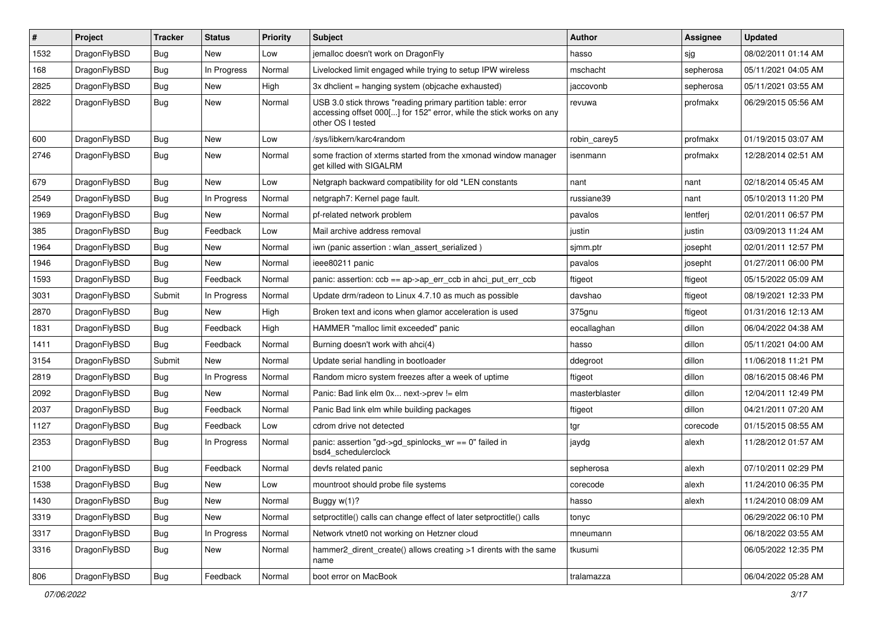| ∦    | Project      | Tracker    | <b>Status</b> | <b>Priority</b> | <b>Subject</b>                                                                                                                                           | <b>Author</b> | <b>Assignee</b> | <b>Updated</b>      |
|------|--------------|------------|---------------|-----------------|----------------------------------------------------------------------------------------------------------------------------------------------------------|---------------|-----------------|---------------------|
| 1532 | DragonFlyBSD | <b>Bug</b> | <b>New</b>    | Low             | jemalloc doesn't work on DragonFly                                                                                                                       | hasso         | sjg             | 08/02/2011 01:14 AM |
| 168  | DragonFlyBSD | <b>Bug</b> | In Progress   | Normal          | Livelocked limit engaged while trying to setup IPW wireless                                                                                              | mschacht      | sepherosa       | 05/11/2021 04:05 AM |
| 2825 | DragonFlyBSD | <b>Bug</b> | <b>New</b>    | High            | 3x dhclient = hanging system (objcache exhausted)                                                                                                        | jaccovonb     | sepherosa       | 05/11/2021 03:55 AM |
| 2822 | DragonFlyBSD | Bug        | <b>New</b>    | Normal          | USB 3.0 stick throws "reading primary partition table: error<br>accessing offset 000[] for 152" error, while the stick works on any<br>other OS I tested | revuwa        | profmakx        | 06/29/2015 05:56 AM |
| 600  | DragonFlyBSD | Bug        | <b>New</b>    | Low             | /sys/libkern/karc4random                                                                                                                                 | robin_carey5  | profmakx        | 01/19/2015 03:07 AM |
| 2746 | DragonFlyBSD | Bug        | <b>New</b>    | Normal          | some fraction of xterms started from the xmonad window manager<br>get killed with SIGALRM                                                                | isenmann      | profmakx        | 12/28/2014 02:51 AM |
| 679  | DragonFlyBSD | <b>Bug</b> | <b>New</b>    | Low             | Netgraph backward compatibility for old *LEN constants                                                                                                   | nant          | nant            | 02/18/2014 05:45 AM |
| 2549 | DragonFlyBSD | <b>Bug</b> | In Progress   | Normal          | netgraph7: Kernel page fault.                                                                                                                            | russiane39    | nant            | 05/10/2013 11:20 PM |
| 1969 | DragonFlyBSD | <b>Bug</b> | <b>New</b>    | Normal          | pf-related network problem                                                                                                                               | pavalos       | lentferj        | 02/01/2011 06:57 PM |
| 385  | DragonFlyBSD | <b>Bug</b> | Feedback      | Low             | Mail archive address removal                                                                                                                             | justin        | justin          | 03/09/2013 11:24 AM |
| 1964 | DragonFlyBSD | <b>Bug</b> | New           | Normal          | iwn (panic assertion : wlan assert serialized)                                                                                                           | sjmm.ptr      | josepht         | 02/01/2011 12:57 PM |
| 1946 | DragonFlyBSD | Bug        | <b>New</b>    | Normal          | ieee80211 panic                                                                                                                                          | pavalos       | josepht         | 01/27/2011 06:00 PM |
| 1593 | DragonFlyBSD | <b>Bug</b> | Feedback      | Normal          | panic: assertion: $ccb == ap > ap$ err $ccb$ in ahci put err $ccb$                                                                                       | ftigeot       | ftigeot         | 05/15/2022 05:09 AM |
| 3031 | DragonFlyBSD | Submit     | In Progress   | Normal          | Update drm/radeon to Linux 4.7.10 as much as possible                                                                                                    | davshao       | ftigeot         | 08/19/2021 12:33 PM |
| 2870 | DragonFlyBSD | Bug        | <b>New</b>    | High            | Broken text and icons when glamor acceleration is used                                                                                                   | 375gnu        | ftigeot         | 01/31/2016 12:13 AM |
| 1831 | DragonFlyBSD | <b>Bug</b> | Feedback      | High            | HAMMER "malloc limit exceeded" panic                                                                                                                     | eocallaghan   | dillon          | 06/04/2022 04:38 AM |
| 1411 | DragonFlyBSD | Bug        | Feedback      | Normal          | Burning doesn't work with ahci(4)                                                                                                                        | hasso         | dillon          | 05/11/2021 04:00 AM |
| 3154 | DragonFlyBSD | Submit     | New           | Normal          | Update serial handling in bootloader                                                                                                                     | ddegroot      | dillon          | 11/06/2018 11:21 PM |
| 2819 | DragonFlyBSD | Bug        | In Progress   | Normal          | Random micro system freezes after a week of uptime                                                                                                       | ftigeot       | dillon          | 08/16/2015 08:46 PM |
| 2092 | DragonFlyBSD | <b>Bug</b> | <b>New</b>    | Normal          | Panic: Bad link elm 0x next->prev != elm                                                                                                                 | masterblaster | dillon          | 12/04/2011 12:49 PM |
| 2037 | DragonFlyBSD | <b>Bug</b> | Feedback      | Normal          | Panic Bad link elm while building packages                                                                                                               | ftigeot       | dillon          | 04/21/2011 07:20 AM |
| 1127 | DragonFlyBSD | <b>Bug</b> | Feedback      | Low             | cdrom drive not detected                                                                                                                                 | tgr           | corecode        | 01/15/2015 08:55 AM |
| 2353 | DragonFlyBSD | <b>Bug</b> | In Progress   | Normal          | panic: assertion "gd->gd_spinlocks_wr == 0" failed in<br>bsd4 schedulerclock                                                                             | jaydg         | alexh           | 11/28/2012 01:57 AM |
| 2100 | DragonFlyBSD | Bug        | Feedback      | Normal          | devfs related panic                                                                                                                                      | sepherosa     | alexh           | 07/10/2011 02:29 PM |
| 1538 | DragonFlyBSD | <b>Bug</b> | New           | Low             | mountroot should probe file systems                                                                                                                      | corecode      | alexh           | 11/24/2010 06:35 PM |
| 1430 | DragonFlyBSD | <b>Bug</b> | New           | Normal          | Buggy w(1)?                                                                                                                                              | hasso         | alexh           | 11/24/2010 08:09 AM |
| 3319 | DragonFlyBSD | <b>Bug</b> | New           | Normal          | setproctitle() calls can change effect of later setproctitle() calls                                                                                     | tonyc         |                 | 06/29/2022 06:10 PM |
| 3317 | DragonFlyBSD | <b>Bug</b> | In Progress   | Normal          | Network vtnet0 not working on Hetzner cloud                                                                                                              | mneumann      |                 | 06/18/2022 03:55 AM |
| 3316 | DragonFlyBSD | <b>Bug</b> | New           | Normal          | hammer2_dirent_create() allows creating >1 dirents with the same<br>name                                                                                 | tkusumi       |                 | 06/05/2022 12:35 PM |
| 806  | DragonFlyBSD | Bug        | Feedback      | Normal          | boot error on MacBook                                                                                                                                    | tralamazza    |                 | 06/04/2022 05:28 AM |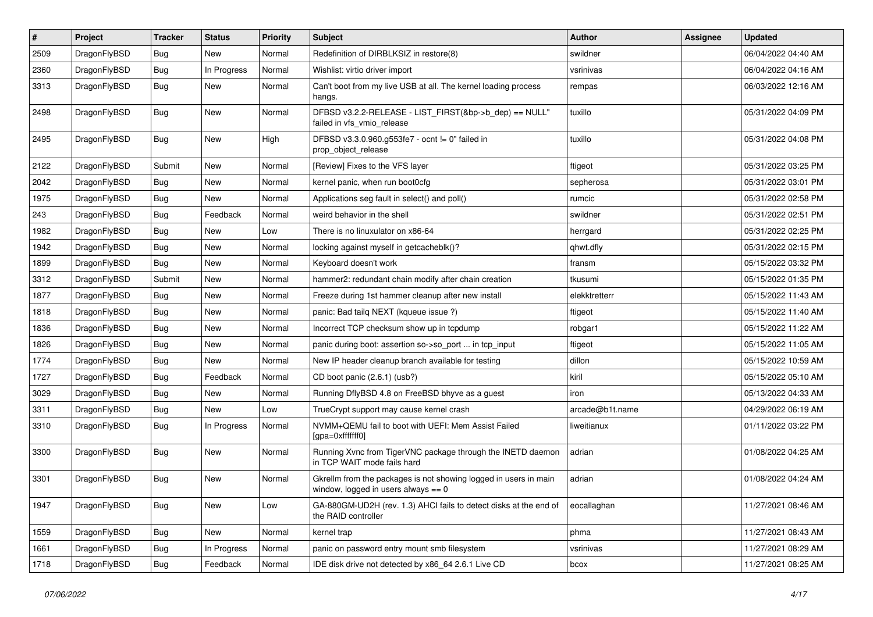| $\sharp$ | Project      | <b>Tracker</b> | <b>Status</b> | <b>Priority</b> | Subject                                                                                                   | <b>Author</b>   | Assignee | <b>Updated</b>      |
|----------|--------------|----------------|---------------|-----------------|-----------------------------------------------------------------------------------------------------------|-----------------|----------|---------------------|
| 2509     | DragonFlyBSD | <b>Bug</b>     | <b>New</b>    | Normal          | Redefinition of DIRBLKSIZ in restore(8)                                                                   | swildner        |          | 06/04/2022 04:40 AM |
| 2360     | DragonFlyBSD | <b>Bug</b>     | In Progress   | Normal          | Wishlist: virtio driver import                                                                            | vsrinivas       |          | 06/04/2022 04:16 AM |
| 3313     | DragonFlyBSD | <b>Bug</b>     | New           | Normal          | Can't boot from my live USB at all. The kernel loading process<br>hangs.                                  | rempas          |          | 06/03/2022 12:16 AM |
| 2498     | DragonFlyBSD | <b>Bug</b>     | New           | Normal          | DFBSD v3.2.2-RELEASE - LIST_FIRST(&bp->b_dep) == NULL"<br>failed in vfs vmio release                      | tuxillo         |          | 05/31/2022 04:09 PM |
| 2495     | DragonFlyBSD | <b>Bug</b>     | New           | High            | DFBSD v3.3.0.960.g553fe7 - ocnt != 0" failed in<br>prop_object_release                                    | tuxillo         |          | 05/31/2022 04:08 PM |
| 2122     | DragonFlyBSD | Submit         | New           | Normal          | [Review] Fixes to the VFS layer                                                                           | ftigeot         |          | 05/31/2022 03:25 PM |
| 2042     | DragonFlyBSD | <b>Bug</b>     | New           | Normal          | kernel panic, when run boot0cfg                                                                           | sepherosa       |          | 05/31/2022 03:01 PM |
| 1975     | DragonFlyBSD | <b>Bug</b>     | New           | Normal          | Applications seg fault in select() and poll()                                                             | rumcic          |          | 05/31/2022 02:58 PM |
| 243      | DragonFlyBSD | <b>Bug</b>     | Feedback      | Normal          | weird behavior in the shell                                                                               | swildner        |          | 05/31/2022 02:51 PM |
| 1982     | DragonFlyBSD | <b>Bug</b>     | New           | Low             | There is no linuxulator on x86-64                                                                         | herrgard        |          | 05/31/2022 02:25 PM |
| 1942     | DragonFlyBSD | <b>Bug</b>     | <b>New</b>    | Normal          | locking against myself in getcacheblk()?                                                                  | qhwt.dfly       |          | 05/31/2022 02:15 PM |
| 1899     | DragonFlyBSD | <b>Bug</b>     | New           | Normal          | Keyboard doesn't work                                                                                     | fransm          |          | 05/15/2022 03:32 PM |
| 3312     | DragonFlyBSD | Submit         | <b>New</b>    | Normal          | hammer2: redundant chain modify after chain creation                                                      | tkusumi         |          | 05/15/2022 01:35 PM |
| 1877     | DragonFlyBSD | <b>Bug</b>     | New           | Normal          | Freeze during 1st hammer cleanup after new install                                                        | elekktretterr   |          | 05/15/2022 11:43 AM |
| 1818     | DragonFlyBSD | Bug            | New           | Normal          | panic: Bad tailq NEXT (kqueue issue ?)                                                                    | ftigeot         |          | 05/15/2022 11:40 AM |
| 1836     | DragonFlyBSD | <b>Bug</b>     | New           | Normal          | Incorrect TCP checksum show up in tcpdump                                                                 | robgar1         |          | 05/15/2022 11:22 AM |
| 1826     | DragonFlyBSD | <b>Bug</b>     | <b>New</b>    | Normal          | panic during boot: assertion so->so_port  in tcp_input                                                    | ftigeot         |          | 05/15/2022 11:05 AM |
| 1774     | DragonFlyBSD | Bug            | New           | Normal          | New IP header cleanup branch available for testing                                                        | dillon          |          | 05/15/2022 10:59 AM |
| 1727     | DragonFlyBSD | <b>Bug</b>     | Feedback      | Normal          | CD boot panic (2.6.1) (usb?)                                                                              | kiril           |          | 05/15/2022 05:10 AM |
| 3029     | DragonFlyBSD | Bug            | New           | Normal          | Running DflyBSD 4.8 on FreeBSD bhyve as a guest                                                           | iron            |          | 05/13/2022 04:33 AM |
| 3311     | DragonFlyBSD | <b>Bug</b>     | New           | Low             | TrueCrypt support may cause kernel crash                                                                  | arcade@b1t.name |          | 04/29/2022 06:19 AM |
| 3310     | DragonFlyBSD | <b>Bug</b>     | In Progress   | Normal          | NVMM+QEMU fail to boot with UEFI: Mem Assist Failed<br>[gpa=0xfffffff0]                                   | liweitianux     |          | 01/11/2022 03:22 PM |
| 3300     | DragonFlyBSD | Bug            | New           | Normal          | Running Xvnc from TigerVNC package through the INETD daemon<br>in TCP WAIT mode fails hard                | adrian          |          | 01/08/2022 04:25 AM |
| 3301     | DragonFlyBSD | <b>Bug</b>     | New           | Normal          | Gkrellm from the packages is not showing logged in users in main<br>window, logged in users always $== 0$ | adrian          |          | 01/08/2022 04:24 AM |
| 1947     | DragonFlyBSD | <b>Bug</b>     | New           | Low             | GA-880GM-UD2H (rev. 1.3) AHCI fails to detect disks at the end of<br>the RAID controller                  | eocallaghan     |          | 11/27/2021 08:46 AM |
| 1559     | DragonFlyBSD | <b>Bug</b>     | New           | Normal          | kernel trap                                                                                               | phma            |          | 11/27/2021 08:43 AM |
| 1661     | DragonFlyBSD | <b>Bug</b>     | In Progress   | Normal          | panic on password entry mount smb filesystem                                                              | vsrinivas       |          | 11/27/2021 08:29 AM |
| 1718     | DragonFlyBSD | <b>Bug</b>     | Feedback      | Normal          | IDE disk drive not detected by x86 64 2.6.1 Live CD                                                       | bcox            |          | 11/27/2021 08:25 AM |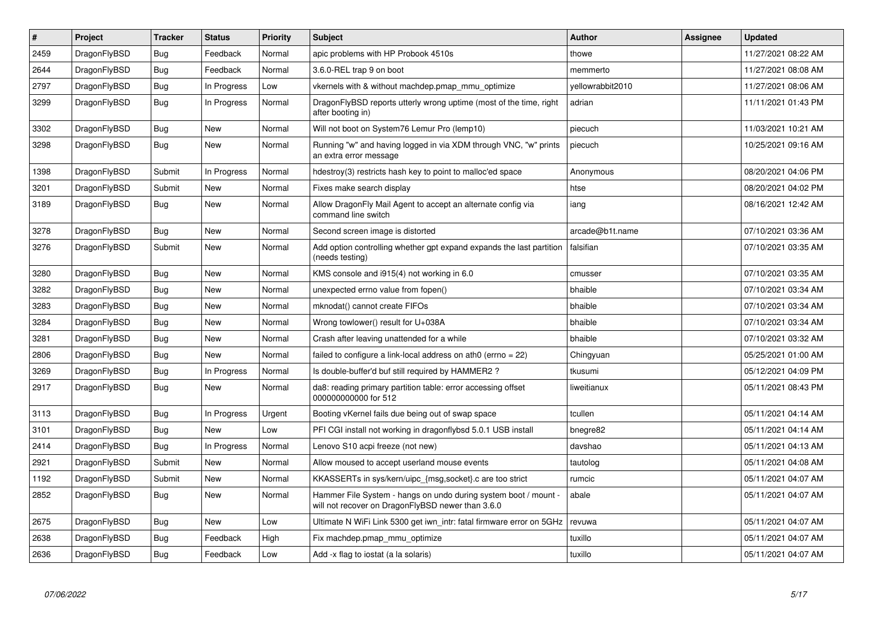| $\vert$ # | Project      | <b>Tracker</b> | <b>Status</b> | <b>Priority</b> | <b>Subject</b>                                                                                                       | <b>Author</b>    | Assignee | <b>Updated</b>      |
|-----------|--------------|----------------|---------------|-----------------|----------------------------------------------------------------------------------------------------------------------|------------------|----------|---------------------|
| 2459      | DragonFlyBSD | <b>Bug</b>     | Feedback      | Normal          | apic problems with HP Probook 4510s                                                                                  | thowe            |          | 11/27/2021 08:22 AM |
| 2644      | DragonFlyBSD | <b>Bug</b>     | Feedback      | Normal          | 3.6.0-REL trap 9 on boot                                                                                             | memmerto         |          | 11/27/2021 08:08 AM |
| 2797      | DragonFlyBSD | <b>Bug</b>     | In Progress   | Low             | vkernels with & without machdep.pmap_mmu_optimize                                                                    | vellowrabbit2010 |          | 11/27/2021 08:06 AM |
| 3299      | DragonFlyBSD | <b>Bug</b>     | In Progress   | Normal          | DragonFlyBSD reports utterly wrong uptime (most of the time, right<br>after booting in)                              | adrian           |          | 11/11/2021 01:43 PM |
| 3302      | DragonFlyBSD | Bug            | <b>New</b>    | Normal          | Will not boot on System76 Lemur Pro (lemp10)                                                                         | piecuch          |          | 11/03/2021 10:21 AM |
| 3298      | DragonFlyBSD | <b>Bug</b>     | <b>New</b>    | Normal          | Running "w" and having logged in via XDM through VNC, "w" prints<br>an extra error message                           | piecuch          |          | 10/25/2021 09:16 AM |
| 1398      | DragonFlyBSD | Submit         | In Progress   | Normal          | hdestroy(3) restricts hash key to point to malloc'ed space                                                           | Anonymous        |          | 08/20/2021 04:06 PM |
| 3201      | DragonFlyBSD | Submit         | <b>New</b>    | Normal          | Fixes make search display                                                                                            | htse             |          | 08/20/2021 04:02 PM |
| 3189      | DragonFlyBSD | <b>Bug</b>     | <b>New</b>    | Normal          | Allow DragonFly Mail Agent to accept an alternate config via<br>command line switch                                  | iang             |          | 08/16/2021 12:42 AM |
| 3278      | DragonFlyBSD | Bug            | <b>New</b>    | Normal          | Second screen image is distorted                                                                                     | arcade@b1t.name  |          | 07/10/2021 03:36 AM |
| 3276      | DragonFlyBSD | Submit         | <b>New</b>    | Normal          | Add option controlling whether gpt expand expands the last partition<br>(needs testing)                              | falsifian        |          | 07/10/2021 03:35 AM |
| 3280      | DragonFlyBSD | <b>Bug</b>     | <b>New</b>    | Normal          | KMS console and i915(4) not working in 6.0                                                                           | cmusser          |          | 07/10/2021 03:35 AM |
| 3282      | DragonFlyBSD | Bug            | <b>New</b>    | Normal          | unexpected errno value from fopen()                                                                                  | bhaible          |          | 07/10/2021 03:34 AM |
| 3283      | DragonFlyBSD | <b>Bug</b>     | <b>New</b>    | Normal          | mknodat() cannot create FIFOs                                                                                        | bhaible          |          | 07/10/2021 03:34 AM |
| 3284      | DragonFlyBSD | Bug            | <b>New</b>    | Normal          | Wrong towlower() result for U+038A                                                                                   | bhaible          |          | 07/10/2021 03:34 AM |
| 3281      | DragonFlyBSD | <b>Bug</b>     | <b>New</b>    | Normal          | Crash after leaving unattended for a while                                                                           | bhaible          |          | 07/10/2021 03:32 AM |
| 2806      | DragonFlyBSD | Bug            | <b>New</b>    | Normal          | failed to configure a link-local address on ath0 (errno = 22)                                                        | Chingyuan        |          | 05/25/2021 01:00 AM |
| 3269      | DragonFlyBSD | <b>Bug</b>     | In Progress   | Normal          | Is double-buffer'd buf still required by HAMMER2 ?                                                                   | tkusumi          |          | 05/12/2021 04:09 PM |
| 2917      | DragonFlyBSD | Bug            | New           | Normal          | da8: reading primary partition table: error accessing offset<br>000000000000 for 512                                 | liweitianux      |          | 05/11/2021 08:43 PM |
| 3113      | DragonFlyBSD | <b>Bug</b>     | In Progress   | Urgent          | Booting vKernel fails due being out of swap space                                                                    | tcullen          |          | 05/11/2021 04:14 AM |
| 3101      | DragonFlyBSD | Bug            | <b>New</b>    | Low             | PFI CGI install not working in dragonflybsd 5.0.1 USB install                                                        | bnegre82         |          | 05/11/2021 04:14 AM |
| 2414      | DragonFlyBSD | Bug            | In Progress   | Normal          | Lenovo S10 acpi freeze (not new)                                                                                     | davshao          |          | 05/11/2021 04:13 AM |
| 2921      | DragonFlyBSD | Submit         | New           | Normal          | Allow moused to accept userland mouse events                                                                         | tautolog         |          | 05/11/2021 04:08 AM |
| 1192      | DragonFlyBSD | Submit         | <b>New</b>    | Normal          | KKASSERTs in sys/kern/uipc {msg,socket}.c are too strict                                                             | rumcic           |          | 05/11/2021 04:07 AM |
| 2852      | DragonFlyBSD | <b>Bug</b>     | New           | Normal          | Hammer File System - hangs on undo during system boot / mount -<br>will not recover on DragonFlyBSD newer than 3.6.0 | abale            |          | 05/11/2021 04:07 AM |
| 2675      | DragonFlyBSD | <b>Bug</b>     | <b>New</b>    | Low             | Ultimate N WiFi Link 5300 get iwn_intr: fatal firmware error on 5GHz                                                 | revuwa           |          | 05/11/2021 04:07 AM |
| 2638      | DragonFlyBSD | Bug            | Feedback      | High            | Fix machdep.pmap mmu optimize                                                                                        | tuxillo          |          | 05/11/2021 04:07 AM |
| 2636      | DragonFlyBSD | <b>Bug</b>     | Feedback      | Low             | Add -x flag to iostat (a la solaris)                                                                                 | tuxillo          |          | 05/11/2021 04:07 AM |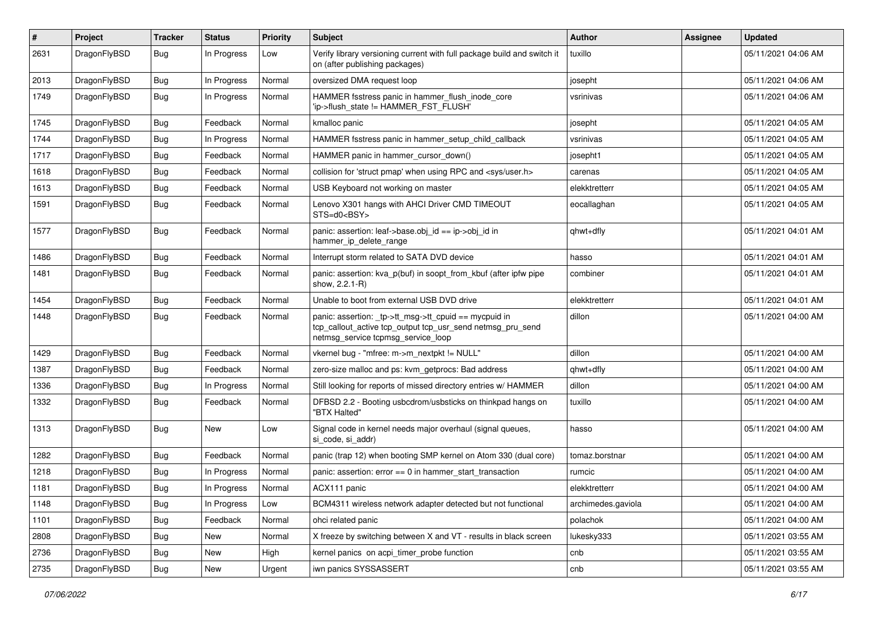| $\vert$ # | Project      | <b>Tracker</b> | <b>Status</b> | <b>Priority</b> | Subject                                                                                                                                                   | Author             | Assignee | <b>Updated</b>      |
|-----------|--------------|----------------|---------------|-----------------|-----------------------------------------------------------------------------------------------------------------------------------------------------------|--------------------|----------|---------------------|
| 2631      | DragonFlyBSD | Bug            | In Progress   | Low             | Verify library versioning current with full package build and switch it<br>on (after publishing packages)                                                 | tuxillo            |          | 05/11/2021 04:06 AM |
| 2013      | DragonFlyBSD | Bug            | In Progress   | Normal          | oversized DMA request loop                                                                                                                                | josepht            |          | 05/11/2021 04:06 AM |
| 1749      | DragonFlyBSD | Bug            | In Progress   | Normal          | HAMMER fsstress panic in hammer_flush_inode_core<br>'ip->flush_state != HAMMER_FST_FLUSH'                                                                 | vsrinivas          |          | 05/11/2021 04:06 AM |
| 1745      | DragonFlyBSD | Bug            | Feedback      | Normal          | kmalloc panic                                                                                                                                             | josepht            |          | 05/11/2021 04:05 AM |
| 1744      | DragonFlyBSD | Bug            | In Progress   | Normal          | HAMMER fsstress panic in hammer_setup_child_callback                                                                                                      | vsrinivas          |          | 05/11/2021 04:05 AM |
| 1717      | DragonFlyBSD | Bug            | Feedback      | Normal          | HAMMER panic in hammer_cursor_down()                                                                                                                      | josepht1           |          | 05/11/2021 04:05 AM |
| 1618      | DragonFlyBSD | <b>Bug</b>     | Feedback      | Normal          | collision for 'struct pmap' when using RPC and <sys user.h=""></sys>                                                                                      | carenas            |          | 05/11/2021 04:05 AM |
| 1613      | DragonFlyBSD | <b>Bug</b>     | Feedback      | Normal          | USB Keyboard not working on master                                                                                                                        | elekktretterr      |          | 05/11/2021 04:05 AM |
| 1591      | DragonFlyBSD | <b>Bug</b>     | Feedback      | Normal          | Lenovo X301 hangs with AHCI Driver CMD TIMEOUT<br>STS=d0 <bsy></bsy>                                                                                      | eocallaghan        |          | 05/11/2021 04:05 AM |
| 1577      | DragonFlyBSD | Bug            | Feedback      | Normal          | panic: assertion: leaf->base.obj_id == ip->obj_id in<br>hammer_ip_delete_range                                                                            | qhwt+dfly          |          | 05/11/2021 04:01 AM |
| 1486      | DragonFlyBSD | Bug            | Feedback      | Normal          | Interrupt storm related to SATA DVD device                                                                                                                | hasso              |          | 05/11/2021 04:01 AM |
| 1481      | DragonFlyBSD | <b>Bug</b>     | Feedback      | Normal          | panic: assertion: kva_p(buf) in soopt_from_kbuf (after ipfw pipe<br>show, 2.2.1-R)                                                                        | combiner           |          | 05/11/2021 04:01 AM |
| 1454      | DragonFlyBSD | Bug            | Feedback      | Normal          | Unable to boot from external USB DVD drive                                                                                                                | elekktretterr      |          | 05/11/2021 04:01 AM |
| 1448      | DragonFlyBSD | Bug            | Feedback      | Normal          | panic: assertion: _tp->tt_msg->tt_cpuid == mycpuid in<br>tcp_callout_active tcp_output tcp_usr_send netmsg_pru_send<br>netmsg_service tcpmsg_service_loop | dillon             |          | 05/11/2021 04:00 AM |
| 1429      | DragonFlyBSD | Bug            | Feedback      | Normal          | vkernel bug - "mfree: m->m_nextpkt != NULL"                                                                                                               | dillon             |          | 05/11/2021 04:00 AM |
| 1387      | DragonFlyBSD | <b>Bug</b>     | Feedback      | Normal          | zero-size malloc and ps: kvm_getprocs: Bad address                                                                                                        | qhwt+dfly          |          | 05/11/2021 04:00 AM |
| 1336      | DragonFlyBSD | <b>Bug</b>     | In Progress   | Normal          | Still looking for reports of missed directory entries w/ HAMMER                                                                                           | dillon             |          | 05/11/2021 04:00 AM |
| 1332      | DragonFlyBSD | Bug            | Feedback      | Normal          | DFBSD 2.2 - Booting usbcdrom/usbsticks on thinkpad hangs on<br>"BTX Halted"                                                                               | tuxillo            |          | 05/11/2021 04:00 AM |
| 1313      | DragonFlyBSD | Bug            | <b>New</b>    | Low             | Signal code in kernel needs major overhaul (signal queues,<br>si code, si addr)                                                                           | hasso              |          | 05/11/2021 04:00 AM |
| 1282      | DragonFlyBSD | <b>Bug</b>     | Feedback      | Normal          | panic (trap 12) when booting SMP kernel on Atom 330 (dual core)                                                                                           | tomaz.borstnar     |          | 05/11/2021 04:00 AM |
| 1218      | DragonFlyBSD | <b>Bug</b>     | In Progress   | Normal          | panic: assertion: error == 0 in hammer_start_transaction                                                                                                  | rumcic             |          | 05/11/2021 04:00 AM |
| 1181      | DragonFlyBSD | <b>Bug</b>     | In Progress   | Normal          | ACX111 panic                                                                                                                                              | elekktretterr      |          | 05/11/2021 04:00 AM |
| 1148      | DragonFlyBSD | Bug            | In Progress   | Low             | BCM4311 wireless network adapter detected but not functional                                                                                              | archimedes.gaviola |          | 05/11/2021 04:00 AM |
| 1101      | DragonFlyBSD | <b>Bug</b>     | Feedback      | Normal          | ohci related panic                                                                                                                                        | polachok           |          | 05/11/2021 04:00 AM |
| 2808      | DragonFlyBSD | Bug            | New           | Normal          | X freeze by switching between X and VT - results in black screen                                                                                          | lukesky333         |          | 05/11/2021 03:55 AM |
| 2736      | DragonFlyBSD | <b>Bug</b>     | New           | High            | kernel panics on acpi timer probe function                                                                                                                | cnb                |          | 05/11/2021 03:55 AM |
| 2735      | DragonFlyBSD | <b>Bug</b>     | New           | Urgent          | iwn panics SYSSASSERT                                                                                                                                     | cnb                |          | 05/11/2021 03:55 AM |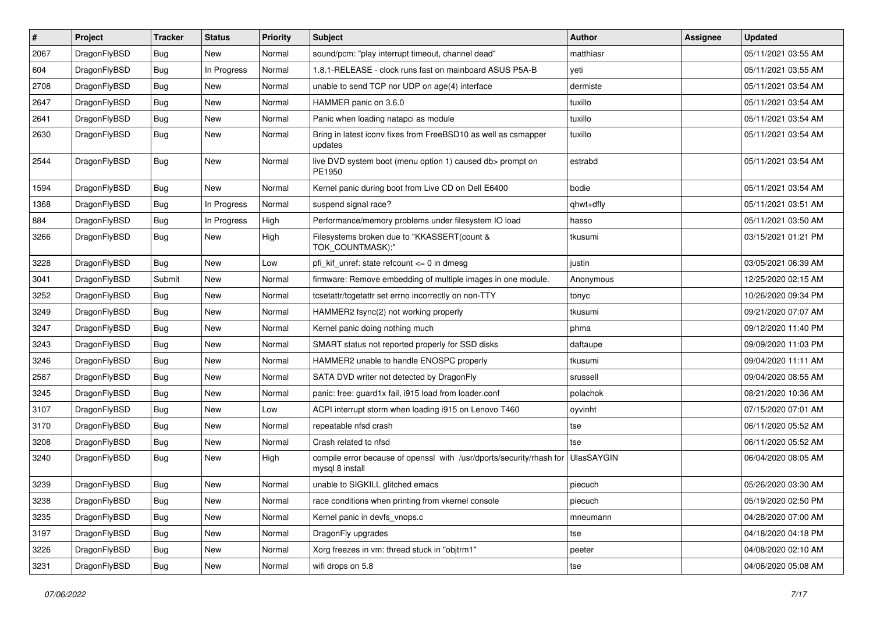| #    | Project      | <b>Tracker</b> | <b>Status</b> | <b>Priority</b> | Subject                                                                                 | <b>Author</b>     | Assignee | <b>Updated</b>      |
|------|--------------|----------------|---------------|-----------------|-----------------------------------------------------------------------------------------|-------------------|----------|---------------------|
| 2067 | DragonFlyBSD | Bug            | New           | Normal          | sound/pcm: "play interrupt timeout, channel dead"                                       | matthiasr         |          | 05/11/2021 03:55 AM |
| 604  | DragonFlyBSD | Bug            | In Progress   | Normal          | 1.8.1-RELEASE - clock runs fast on mainboard ASUS P5A-B                                 | yeti              |          | 05/11/2021 03:55 AM |
| 2708 | DragonFlyBSD | <b>Bug</b>     | New           | Normal          | unable to send TCP nor UDP on age(4) interface                                          | dermiste          |          | 05/11/2021 03:54 AM |
| 2647 | DragonFlyBSD | <b>Bug</b>     | <b>New</b>    | Normal          | HAMMER panic on 3.6.0                                                                   | tuxillo           |          | 05/11/2021 03:54 AM |
| 2641 | DragonFlyBSD | Bug            | <b>New</b>    | Normal          | Panic when loading natapci as module                                                    | tuxillo           |          | 05/11/2021 03:54 AM |
| 2630 | DragonFlyBSD | <b>Bug</b>     | New           | Normal          | Bring in latest iconv fixes from FreeBSD10 as well as csmapper<br>updates               | tuxillo           |          | 05/11/2021 03:54 AM |
| 2544 | DragonFlyBSD | <b>Bug</b>     | <b>New</b>    | Normal          | live DVD system boot (menu option 1) caused db> prompt on<br>PE1950                     | estrabd           |          | 05/11/2021 03:54 AM |
| 1594 | DragonFlyBSD | Bug            | <b>New</b>    | Normal          | Kernel panic during boot from Live CD on Dell E6400                                     | bodie             |          | 05/11/2021 03:54 AM |
| 1368 | DragonFlyBSD | <b>Bug</b>     | In Progress   | Normal          | suspend signal race?                                                                    | qhwt+dfly         |          | 05/11/2021 03:51 AM |
| 884  | DragonFlyBSD | <b>Bug</b>     | In Progress   | High            | Performance/memory problems under filesystem IO load                                    | hasso             |          | 05/11/2021 03:50 AM |
| 3266 | DragonFlyBSD | <b>Bug</b>     | New           | High            | Filesystems broken due to "KKASSERT(count &<br>TOK_COUNTMASK);"                         | tkusumi           |          | 03/15/2021 01:21 PM |
| 3228 | DragonFlyBSD | Bug            | <b>New</b>    | Low             | pfi kif unref: state refcount $\leq$ 0 in dmesg                                         | justin            |          | 03/05/2021 06:39 AM |
| 3041 | DragonFlyBSD | Submit         | New           | Normal          | firmware: Remove embedding of multiple images in one module.                            | Anonymous         |          | 12/25/2020 02:15 AM |
| 3252 | DragonFlyBSD | <b>Bug</b>     | New           | Normal          | tcsetattr/tcgetattr set errno incorrectly on non-TTY                                    | tonyc             |          | 10/26/2020 09:34 PM |
| 3249 | DragonFlyBSD | Bug            | New           | Normal          | HAMMER2 fsync(2) not working properly                                                   | tkusumi           |          | 09/21/2020 07:07 AM |
| 3247 | DragonFlyBSD | <b>Bug</b>     | <b>New</b>    | Normal          | Kernel panic doing nothing much                                                         | phma              |          | 09/12/2020 11:40 PM |
| 3243 | DragonFlyBSD | <b>Bug</b>     | New           | Normal          | SMART status not reported properly for SSD disks                                        | daftaupe          |          | 09/09/2020 11:03 PM |
| 3246 | DragonFlyBSD | Bug            | <b>New</b>    | Normal          | HAMMER2 unable to handle ENOSPC properly                                                | tkusumi           |          | 09/04/2020 11:11 AM |
| 2587 | DragonFlyBSD | Bug            | New           | Normal          | SATA DVD writer not detected by DragonFly                                               | srussell          |          | 09/04/2020 08:55 AM |
| 3245 | DragonFlyBSD | Bug            | New           | Normal          | panic: free: guard1x fail, i915 load from loader.conf                                   | polachok          |          | 08/21/2020 10:36 AM |
| 3107 | DragonFlyBSD | <b>Bug</b>     | New           | Low             | ACPI interrupt storm when loading i915 on Lenovo T460                                   | oyvinht           |          | 07/15/2020 07:01 AM |
| 3170 | DragonFlyBSD | Bug            | New           | Normal          | repeatable nfsd crash                                                                   | tse               |          | 06/11/2020 05:52 AM |
| 3208 | DragonFlyBSD | Bug            | New           | Normal          | Crash related to nfsd                                                                   | tse               |          | 06/11/2020 05:52 AM |
| 3240 | DragonFlyBSD | <b>Bug</b>     | New           | High            | compile error because of openssl with /usr/dports/security/rhash for<br>mysql 8 install | <b>UlasSAYGIN</b> |          | 06/04/2020 08:05 AM |
| 3239 | DragonFlyBSD | Bug            | New           | Normal          | unable to SIGKILL glitched emacs                                                        | piecuch           |          | 05/26/2020 03:30 AM |
| 3238 | DragonFlyBSD | <b>Bug</b>     | New           | Normal          | race conditions when printing from vkernel console                                      | piecuch           |          | 05/19/2020 02:50 PM |
| 3235 | DragonFlyBSD | <b>Bug</b>     | New           | Normal          | Kernel panic in devfs_vnops.c                                                           | mneumann          |          | 04/28/2020 07:00 AM |
| 3197 | DragonFlyBSD | <b>Bug</b>     | New           | Normal          | DragonFly upgrades                                                                      | tse               |          | 04/18/2020 04:18 PM |
| 3226 | DragonFlyBSD | Bug            | New           | Normal          | Xorg freezes in vm: thread stuck in "objtrm1"                                           | peeter            |          | 04/08/2020 02:10 AM |
| 3231 | DragonFlyBSD | <b>Bug</b>     | New           | Normal          | wifi drops on 5.8                                                                       | tse               |          | 04/06/2020 05:08 AM |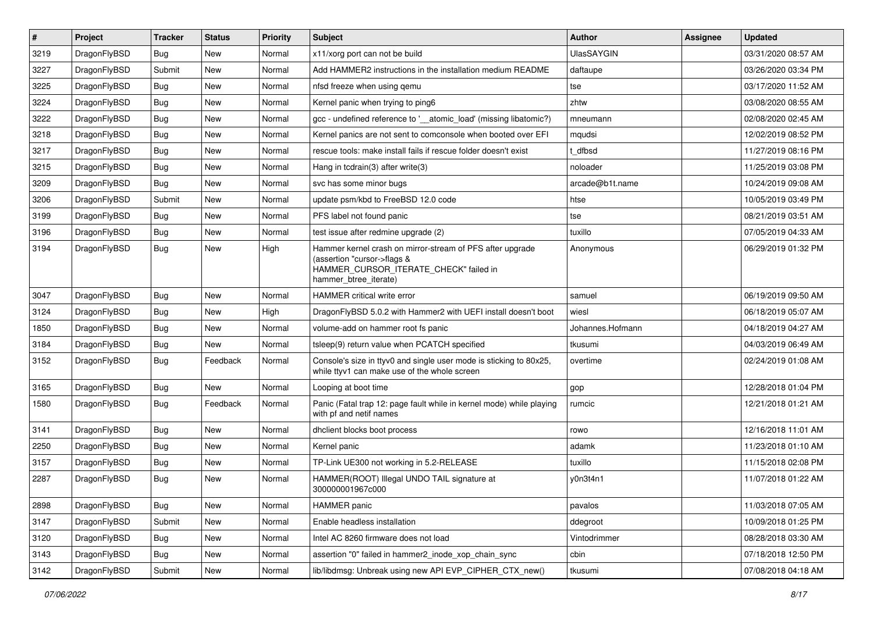| $\pmb{\#}$ | Project      | <b>Tracker</b> | <b>Status</b> | <b>Priority</b> | Subject                                                                                                                                                     | <b>Author</b>     | Assignee | <b>Updated</b>      |
|------------|--------------|----------------|---------------|-----------------|-------------------------------------------------------------------------------------------------------------------------------------------------------------|-------------------|----------|---------------------|
| 3219       | DragonFlyBSD | Bug            | <b>New</b>    | Normal          | x11/xorg port can not be build                                                                                                                              | <b>UlasSAYGIN</b> |          | 03/31/2020 08:57 AM |
| 3227       | DragonFlyBSD | Submit         | <b>New</b>    | Normal          | Add HAMMER2 instructions in the installation medium README                                                                                                  | daftaupe          |          | 03/26/2020 03:34 PM |
| 3225       | DragonFlyBSD | Bug            | New           | Normal          | nfsd freeze when using gemu                                                                                                                                 | tse               |          | 03/17/2020 11:52 AM |
| 3224       | DragonFlyBSD | Bug            | <b>New</b>    | Normal          | Kernel panic when trying to ping6                                                                                                                           | zhtw              |          | 03/08/2020 08:55 AM |
| 3222       | DragonFlyBSD | Bug            | <b>New</b>    | Normal          | gcc - undefined reference to '__atomic_load' (missing libatomic?)                                                                                           | mneumann          |          | 02/08/2020 02:45 AM |
| 3218       | DragonFlyBSD | Bug            | New           | Normal          | Kernel panics are not sent to comconsole when booted over EFI                                                                                               | mqudsi            |          | 12/02/2019 08:52 PM |
| 3217       | DragonFlyBSD | Bug            | <b>New</b>    | Normal          | rescue tools: make install fails if rescue folder doesn't exist                                                                                             | dfbsd             |          | 11/27/2019 08:16 PM |
| 3215       | DragonFlyBSD | Bug            | <b>New</b>    | Normal          | Hang in tcdrain(3) after write(3)                                                                                                                           | noloader          |          | 11/25/2019 03:08 PM |
| 3209       | DragonFlyBSD | Bug            | <b>New</b>    | Normal          | svc has some minor bugs                                                                                                                                     | arcade@b1t.name   |          | 10/24/2019 09:08 AM |
| 3206       | DragonFlyBSD | Submit         | <b>New</b>    | Normal          | update psm/kbd to FreeBSD 12.0 code                                                                                                                         | htse              |          | 10/05/2019 03:49 PM |
| 3199       | DragonFlyBSD | Bug            | New           | Normal          | PFS label not found panic                                                                                                                                   | tse               |          | 08/21/2019 03:51 AM |
| 3196       | DragonFlyBSD | Bug            | <b>New</b>    | Normal          | test issue after redmine upgrade (2)                                                                                                                        | tuxillo           |          | 07/05/2019 04:33 AM |
| 3194       | DragonFlyBSD | Bug            | New           | High            | Hammer kernel crash on mirror-stream of PFS after upgrade<br>(assertion "cursor->flags &<br>HAMMER_CURSOR_ITERATE_CHECK" failed in<br>hammer btree iterate) | Anonymous         |          | 06/29/2019 01:32 PM |
| 3047       | DragonFlyBSD | <b>Bug</b>     | <b>New</b>    | Normal          | <b>HAMMER</b> critical write error                                                                                                                          | samuel            |          | 06/19/2019 09:50 AM |
| 3124       | DragonFlyBSD | Bug            | <b>New</b>    | High            | DragonFlyBSD 5.0.2 with Hammer2 with UEFI install doesn't boot                                                                                              | wiesl             |          | 06/18/2019 05:07 AM |
| 1850       | DragonFlyBSD | Bug            | <b>New</b>    | Normal          | volume-add on hammer root fs panic                                                                                                                          | Johannes.Hofmann  |          | 04/18/2019 04:27 AM |
| 3184       | DragonFlyBSD | Bug            | <b>New</b>    | Normal          | tsleep(9) return value when PCATCH specified                                                                                                                | tkusumi           |          | 04/03/2019 06:49 AM |
| 3152       | DragonFlyBSD | Bug            | Feedback      | Normal          | Console's size in ttyv0 and single user mode is sticking to 80x25,<br>while ttyv1 can make use of the whole screen                                          | overtime          |          | 02/24/2019 01:08 AM |
| 3165       | DragonFlyBSD | <b>Bug</b>     | <b>New</b>    | Normal          | Looping at boot time                                                                                                                                        | gop               |          | 12/28/2018 01:04 PM |
| 1580       | DragonFlyBSD | Bug            | Feedback      | Normal          | Panic (Fatal trap 12: page fault while in kernel mode) while playing<br>with pf and netif names                                                             | rumcic            |          | 12/21/2018 01:21 AM |
| 3141       | DragonFlyBSD | Bug            | <b>New</b>    | Normal          | dhclient blocks boot process                                                                                                                                | rowo              |          | 12/16/2018 11:01 AM |
| 2250       | DragonFlyBSD | Bug            | <b>New</b>    | Normal          | Kernel panic                                                                                                                                                | adamk             |          | 11/23/2018 01:10 AM |
| 3157       | DragonFlyBSD | Bug            | <b>New</b>    | Normal          | TP-Link UE300 not working in 5.2-RELEASE                                                                                                                    | tuxillo           |          | 11/15/2018 02:08 PM |
| 2287       | DragonFlyBSD | Bug            | New           | Normal          | HAMMER(ROOT) Illegal UNDO TAIL signature at<br>300000001967c000                                                                                             | y0n3t4n1          |          | 11/07/2018 01:22 AM |
| 2898       | DragonFlyBSD | Bug            | New           | Normal          | HAMMER panic                                                                                                                                                | pavalos           |          | 11/03/2018 07:05 AM |
| 3147       | DragonFlyBSD | Submit         | New           | Normal          | Enable headless installation                                                                                                                                | ddegroot          |          | 10/09/2018 01:25 PM |
| 3120       | DragonFlyBSD | <b>Bug</b>     | New           | Normal          | Intel AC 8260 firmware does not load                                                                                                                        | Vintodrimmer      |          | 08/28/2018 03:30 AM |
| 3143       | DragonFlyBSD | Bug            | New           | Normal          | assertion "0" failed in hammer2 inode xop chain sync                                                                                                        | cbin              |          | 07/18/2018 12:50 PM |
| 3142       | DragonFlyBSD | Submit         | New           | Normal          | lib/libdmsg: Unbreak using new API EVP CIPHER CTX new()                                                                                                     | tkusumi           |          | 07/08/2018 04:18 AM |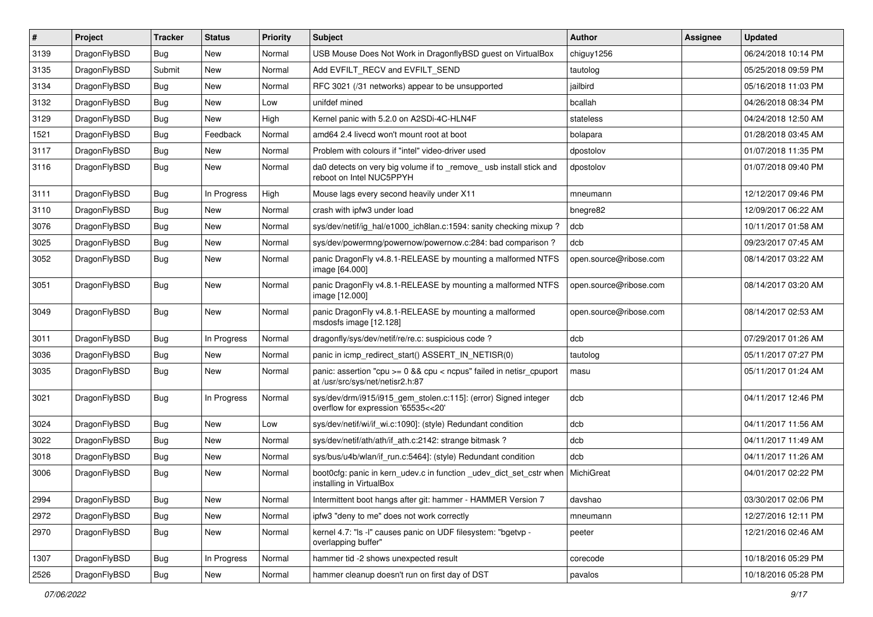| #    | Project      | <b>Tracker</b> | <b>Status</b> | <b>Priority</b> | Subject                                                                                                 | <b>Author</b>          | <b>Assignee</b> | <b>Updated</b>      |
|------|--------------|----------------|---------------|-----------------|---------------------------------------------------------------------------------------------------------|------------------------|-----------------|---------------------|
| 3139 | DragonFlyBSD | Bug            | New           | Normal          | USB Mouse Does Not Work in DragonflyBSD guest on VirtualBox                                             | chiguy1256             |                 | 06/24/2018 10:14 PM |
| 3135 | DragonFlyBSD | Submit         | <b>New</b>    | Normal          | Add EVFILT_RECV and EVFILT_SEND                                                                         | tautolog               |                 | 05/25/2018 09:59 PM |
| 3134 | DragonFlyBSD | Bug            | New           | Normal          | RFC 3021 (/31 networks) appear to be unsupported                                                        | jailbird               |                 | 05/16/2018 11:03 PM |
| 3132 | DragonFlyBSD | <b>Bug</b>     | New           | Low             | unifdef mined                                                                                           | bcallah                |                 | 04/26/2018 08:34 PM |
| 3129 | DragonFlyBSD | Bug            | <b>New</b>    | High            | Kernel panic with 5.2.0 on A2SDi-4C-HLN4F                                                               | stateless              |                 | 04/24/2018 12:50 AM |
| 1521 | DragonFlyBSD | <b>Bug</b>     | Feedback      | Normal          | amd64 2.4 livecd won't mount root at boot                                                               | bolapara               |                 | 01/28/2018 03:45 AM |
| 3117 | DragonFlyBSD | Bug            | New           | Normal          | Problem with colours if "intel" video-driver used                                                       | dpostolov              |                 | 01/07/2018 11:35 PM |
| 3116 | DragonFlyBSD | Bug            | <b>New</b>    | Normal          | da0 detects on very big volume if to _remove_usb install stick and<br>reboot on Intel NUC5PPYH          | dpostolov              |                 | 01/07/2018 09:40 PM |
| 3111 | DragonFlyBSD | Bug            | In Progress   | High            | Mouse lags every second heavily under X11                                                               | mneumann               |                 | 12/12/2017 09:46 PM |
| 3110 | DragonFlyBSD | <b>Bug</b>     | New           | Normal          | crash with ipfw3 under load                                                                             | bnegre82               |                 | 12/09/2017 06:22 AM |
| 3076 | DragonFlyBSD | <b>Bug</b>     | New           | Normal          | sys/dev/netif/ig_hal/e1000_ich8lan.c:1594: sanity checking mixup?                                       | dcb                    |                 | 10/11/2017 01:58 AM |
| 3025 | DragonFlyBSD | Bug            | New           | Normal          | sys/dev/powermng/powernow/powernow.c:284: bad comparison?                                               | dcb                    |                 | 09/23/2017 07:45 AM |
| 3052 | DragonFlyBSD | Bug            | New           | Normal          | panic DragonFly v4.8.1-RELEASE by mounting a malformed NTFS<br>image [64.000]                           | open.source@ribose.com |                 | 08/14/2017 03:22 AM |
| 3051 | DragonFlyBSD | <b>Bug</b>     | New           | Normal          | panic DragonFly v4.8.1-RELEASE by mounting a malformed NTFS<br>image [12.000]                           | open.source@ribose.com |                 | 08/14/2017 03:20 AM |
| 3049 | DragonFlyBSD | <b>Bug</b>     | New           | Normal          | panic DragonFly v4.8.1-RELEASE by mounting a malformed<br>msdosfs image [12.128]                        | open.source@ribose.com |                 | 08/14/2017 02:53 AM |
| 3011 | DragonFlyBSD | Bug            | In Progress   | Normal          | dragonfly/sys/dev/netif/re/re.c: suspicious code?                                                       | dcb                    |                 | 07/29/2017 01:26 AM |
| 3036 | DragonFlyBSD | Bug            | <b>New</b>    | Normal          | panic in icmp_redirect_start() ASSERT_IN_NETISR(0)                                                      | tautolog               |                 | 05/11/2017 07:27 PM |
| 3035 | DragonFlyBSD | <b>Bug</b>     | New           | Normal          | panic: assertion "cpu >= 0 && cpu < ncpus" failed in netisr_cpuport<br>at /usr/src/sys/net/netisr2.h:87 | masu                   |                 | 05/11/2017 01:24 AM |
| 3021 | DragonFlyBSD | <b>Bug</b>     | In Progress   | Normal          | sys/dev/drm/i915/i915_gem_stolen.c:115]: (error) Signed integer<br>overflow for expression '65535<<20'  | dcb                    |                 | 04/11/2017 12:46 PM |
| 3024 | DragonFlyBSD | Bug            | <b>New</b>    | Low             | sys/dev/netif/wi/if_wi.c:1090]: (style) Redundant condition                                             | dcb                    |                 | 04/11/2017 11:56 AM |
| 3022 | DragonFlyBSD | <b>Bug</b>     | New           | Normal          | sys/dev/netif/ath/ath/if_ath.c:2142: strange bitmask?                                                   | dcb                    |                 | 04/11/2017 11:49 AM |
| 3018 | DragonFlyBSD | <b>Bug</b>     | New           | Normal          | sys/bus/u4b/wlan/if_run.c:5464]: (style) Redundant condition                                            | dcb                    |                 | 04/11/2017 11:26 AM |
| 3006 | DragonFlyBSD | Bug            | New           | Normal          | boot0cfg: panic in kern_udev.c in function _udev_dict_set_cstr when<br>installing in VirtualBox         | MichiGreat             |                 | 04/01/2017 02:22 PM |
| 2994 | DragonFlyBSD | Bug            | New           | Normal          | Intermittent boot hangs after git: hammer - HAMMER Version 7                                            | davshao                |                 | 03/30/2017 02:06 PM |
| 2972 | DragonFlyBSD | Bug            | New           | Normal          | ipfw3 "deny to me" does not work correctly                                                              | mneumann               |                 | 12/27/2016 12:11 PM |
| 2970 | DragonFlyBSD | Bug            | New           | Normal          | kernel 4.7: "Is -I" causes panic on UDF filesystem: "bgetvp -<br>overlapping buffer"                    | peeter                 |                 | 12/21/2016 02:46 AM |
| 1307 | DragonFlyBSD | Bug            | In Progress   | Normal          | hammer tid -2 shows unexpected result                                                                   | corecode               |                 | 10/18/2016 05:29 PM |
| 2526 | DragonFlyBSD | <b>Bug</b>     | New           | Normal          | hammer cleanup doesn't run on first day of DST                                                          | pavalos                |                 | 10/18/2016 05:28 PM |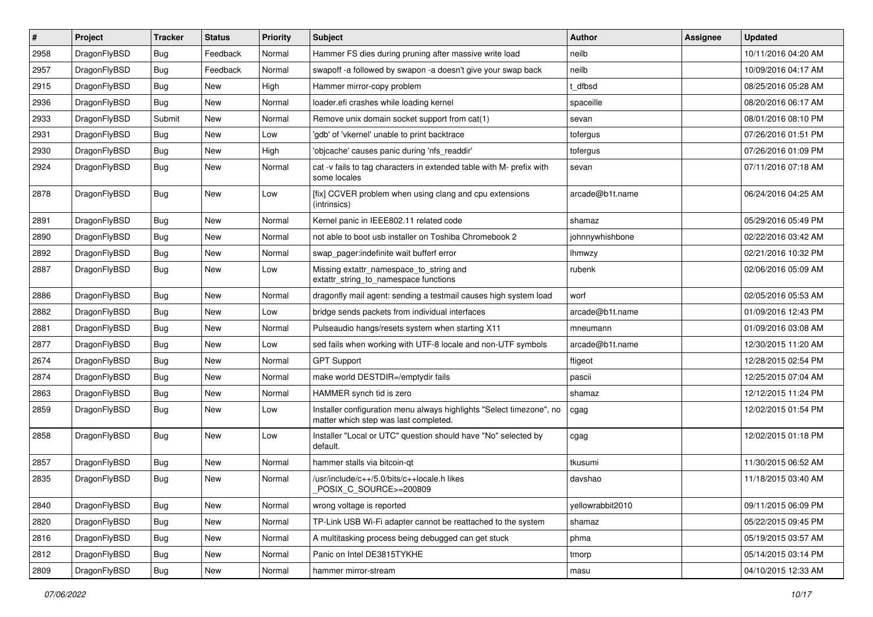| $\sharp$ | Project      | <b>Tracker</b> | <b>Status</b> | <b>Priority</b> | Subject                                                                                                       | <b>Author</b>    | Assignee | <b>Updated</b>      |
|----------|--------------|----------------|---------------|-----------------|---------------------------------------------------------------------------------------------------------------|------------------|----------|---------------------|
| 2958     | DragonFlyBSD | <b>Bug</b>     | Feedback      | Normal          | Hammer FS dies during pruning after massive write load                                                        | neilb            |          | 10/11/2016 04:20 AM |
| 2957     | DragonFlyBSD | Bug            | Feedback      | Normal          | swapoff -a followed by swapon -a doesn't give your swap back                                                  | neilb            |          | 10/09/2016 04:17 AM |
| 2915     | DragonFlyBSD | <b>Bug</b>     | New           | High            | Hammer mirror-copy problem                                                                                    | t dfbsd          |          | 08/25/2016 05:28 AM |
| 2936     | DragonFlyBSD | <b>Bug</b>     | New           | Normal          | loader.efi crashes while loading kernel                                                                       | spaceille        |          | 08/20/2016 06:17 AM |
| 2933     | DragonFlyBSD | Submit         | <b>New</b>    | Normal          | Remove unix domain socket support from cat(1)                                                                 | sevan            |          | 08/01/2016 08:10 PM |
| 2931     | DragonFlyBSD | <b>Bug</b>     | New           | Low             | 'gdb' of 'vkernel' unable to print backtrace                                                                  | tofergus         |          | 07/26/2016 01:51 PM |
| 2930     | DragonFlyBSD | Bug            | New           | High            | 'objcache' causes panic during 'nfs_readdir'                                                                  | tofergus         |          | 07/26/2016 01:09 PM |
| 2924     | DragonFlyBSD | <b>Bug</b>     | <b>New</b>    | Normal          | cat -v fails to tag characters in extended table with M- prefix with<br>some locales                          | sevan            |          | 07/11/2016 07:18 AM |
| 2878     | DragonFlyBSD | <b>Bug</b>     | New           | Low             | [fix] CCVER problem when using clang and cpu extensions<br>(intrinsics)                                       | arcade@b1t.name  |          | 06/24/2016 04:25 AM |
| 2891     | DragonFlyBSD | Bug            | <b>New</b>    | Normal          | Kernel panic in IEEE802.11 related code                                                                       | shamaz           |          | 05/29/2016 05:49 PM |
| 2890     | DragonFlyBSD | Bug            | <b>New</b>    | Normal          | not able to boot usb installer on Toshiba Chromebook 2                                                        | johnnywhishbone  |          | 02/22/2016 03:42 AM |
| 2892     | DragonFlyBSD | <b>Bug</b>     | New           | Normal          | swap pager:indefinite wait bufferf error                                                                      | Ihmwzy           |          | 02/21/2016 10:32 PM |
| 2887     | DragonFlyBSD | Bug            | New           | Low             | Missing extattr_namespace_to_string and<br>extattr string to namespace functions                              | rubenk           |          | 02/06/2016 05:09 AM |
| 2886     | DragonFlyBSD | Bug            | <b>New</b>    | Normal          | dragonfly mail agent: sending a testmail causes high system load                                              | worf             |          | 02/05/2016 05:53 AM |
| 2882     | DragonFlyBSD | Bug            | <b>New</b>    | Low             | bridge sends packets from individual interfaces                                                               | arcade@b1t.name  |          | 01/09/2016 12:43 PM |
| 2881     | DragonFlyBSD | Bug            | New           | Normal          | Pulseaudio hangs/resets system when starting X11                                                              | mneumann         |          | 01/09/2016 03:08 AM |
| 2877     | DragonFlyBSD | Bug            | <b>New</b>    | Low             | sed fails when working with UTF-8 locale and non-UTF symbols                                                  | arcade@b1t.name  |          | 12/30/2015 11:20 AM |
| 2674     | DragonFlyBSD | Bug            | New           | Normal          | <b>GPT Support</b>                                                                                            | ftigeot          |          | 12/28/2015 02:54 PM |
| 2874     | DragonFlyBSD | Bug            | New           | Normal          | make world DESTDIR=/emptydir fails                                                                            | pascii           |          | 12/25/2015 07:04 AM |
| 2863     | DragonFlyBSD | Bug            | <b>New</b>    | Normal          | HAMMER synch tid is zero                                                                                      | shamaz           |          | 12/12/2015 11:24 PM |
| 2859     | DragonFlyBSD | Bug            | New           | Low             | Installer configuration menu always highlights "Select timezone", no<br>matter which step was last completed. | cgag             |          | 12/02/2015 01:54 PM |
| 2858     | DragonFlyBSD | <b>Bug</b>     | New           | Low             | Installer "Local or UTC" question should have "No" selected by<br>default.                                    | cgag             |          | 12/02/2015 01:18 PM |
| 2857     | DragonFlyBSD | Bug            | <b>New</b>    | Normal          | hammer stalls via bitcoin-qt                                                                                  | tkusumi          |          | 11/30/2015 06:52 AM |
| 2835     | DragonFlyBSD | Bug            | New           | Normal          | /usr/include/c++/5.0/bits/c++locale.h likes<br>POSIX_C_SOURCE>=200809                                         | davshao          |          | 11/18/2015 03:40 AM |
| 2840     | DragonFlyBSD | Bug            | New           | Normal          | wrong voltage is reported                                                                                     | yellowrabbit2010 |          | 09/11/2015 06:09 PM |
| 2820     | DragonFlyBSD | Bug            | New           | Normal          | TP-Link USB Wi-Fi adapter cannot be reattached to the system                                                  | shamaz           |          | 05/22/2015 09:45 PM |
| 2816     | DragonFlyBSD | <b>Bug</b>     | New           | Normal          | A multitasking process being debugged can get stuck                                                           | phma             |          | 05/19/2015 03:57 AM |
| 2812     | DragonFlyBSD | <b>Bug</b>     | <b>New</b>    | Normal          | Panic on Intel DE3815TYKHE                                                                                    | tmorp            |          | 05/14/2015 03:14 PM |
| 2809     | DragonFlyBSD | <b>Bug</b>     | New           | Normal          | hammer mirror-stream                                                                                          | masu             |          | 04/10/2015 12:33 AM |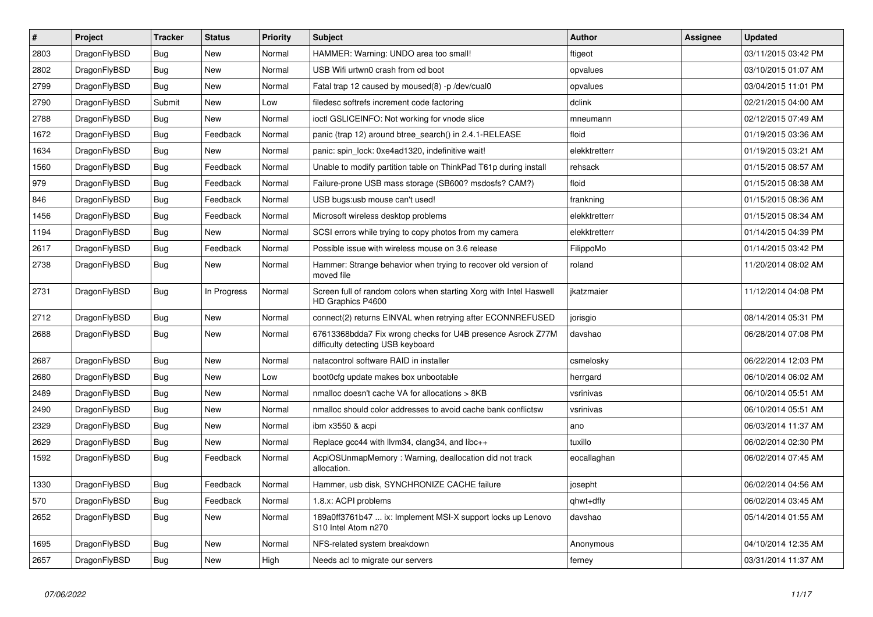| $\vert$ # | <b>Project</b> | <b>Tracker</b> | <b>Status</b> | <b>Priority</b> | <b>Subject</b>                                                                                   | Author        | Assignee | <b>Updated</b>      |
|-----------|----------------|----------------|---------------|-----------------|--------------------------------------------------------------------------------------------------|---------------|----------|---------------------|
| 2803      | DragonFlyBSD   | Bug            | New           | Normal          | HAMMER: Warning: UNDO area too small!                                                            | ftigeot       |          | 03/11/2015 03:42 PM |
| 2802      | DragonFlyBSD   | Bug            | New           | Normal          | USB Wifi urtwn0 crash from cd boot                                                               | opvalues      |          | 03/10/2015 01:07 AM |
| 2799      | DragonFlyBSD   | <b>Bug</b>     | <b>New</b>    | Normal          | Fatal trap 12 caused by moused(8) -p /dev/cual0                                                  | opvalues      |          | 03/04/2015 11:01 PM |
| 2790      | DragonFlyBSD   | Submit         | New           | Low             | filedesc softrefs increment code factoring                                                       | dclink        |          | 02/21/2015 04:00 AM |
| 2788      | DragonFlyBSD   | <b>Bug</b>     | New           | Normal          | ioctl GSLICEINFO: Not working for vnode slice                                                    | mneumann      |          | 02/12/2015 07:49 AM |
| 1672      | DragonFlyBSD   | <b>Bug</b>     | Feedback      | Normal          | panic (trap 12) around btree search() in 2.4.1-RELEASE                                           | floid         |          | 01/19/2015 03:36 AM |
| 1634      | DragonFlyBSD   | <b>Bug</b>     | <b>New</b>    | Normal          | panic: spin lock: 0xe4ad1320, indefinitive wait!                                                 | elekktretterr |          | 01/19/2015 03:21 AM |
| 1560      | DragonFlyBSD   | Bug            | Feedback      | Normal          | Unable to modify partition table on ThinkPad T61p during install                                 | rehsack       |          | 01/15/2015 08:57 AM |
| 979       | DragonFlyBSD   | <b>Bug</b>     | Feedback      | Normal          | Failure-prone USB mass storage (SB600? msdosfs? CAM?)                                            | floid         |          | 01/15/2015 08:38 AM |
| 846       | DragonFlyBSD   | <b>Bug</b>     | Feedback      | Normal          | USB bugs:usb mouse can't used!                                                                   | frankning     |          | 01/15/2015 08:36 AM |
| 1456      | DragonFlyBSD   | <b>Bug</b>     | Feedback      | Normal          | Microsoft wireless desktop problems                                                              | elekktretterr |          | 01/15/2015 08:34 AM |
| 1194      | DragonFlyBSD   | Bug            | New           | Normal          | SCSI errors while trying to copy photos from my camera                                           | elekktretterr |          | 01/14/2015 04:39 PM |
| 2617      | DragonFlyBSD   | <b>Bug</b>     | Feedback      | Normal          | Possible issue with wireless mouse on 3.6 release                                                | FilippoMo     |          | 01/14/2015 03:42 PM |
| 2738      | DragonFlyBSD   | <b>Bug</b>     | <b>New</b>    | Normal          | Hammer: Strange behavior when trying to recover old version of<br>moved file                     | roland        |          | 11/20/2014 08:02 AM |
| 2731      | DragonFlyBSD   | <b>Bug</b>     | In Progress   | Normal          | Screen full of random colors when starting Xorg with Intel Haswell<br>HD Graphics P4600          | ikatzmaier    |          | 11/12/2014 04:08 PM |
| 2712      | DragonFlyBSD   | <b>Bug</b>     | New           | Normal          | connect(2) returns EINVAL when retrying after ECONNREFUSED                                       | jorisgio      |          | 08/14/2014 05:31 PM |
| 2688      | DragonFlyBSD   | Bug            | New           | Normal          | 67613368bdda7 Fix wrong checks for U4B presence Asrock Z77M<br>difficulty detecting USB keyboard | davshao       |          | 06/28/2014 07:08 PM |
| 2687      | DragonFlyBSD   | <b>Bug</b>     | <b>New</b>    | Normal          | natacontrol software RAID in installer                                                           | csmelosky     |          | 06/22/2014 12:03 PM |
| 2680      | DragonFlyBSD   | Bug            | <b>New</b>    | Low             | boot0cfg update makes box unbootable                                                             | herrgard      |          | 06/10/2014 06:02 AM |
| 2489      | DragonFlyBSD   | Bug            | <b>New</b>    | Normal          | nmalloc doesn't cache VA for allocations > 8KB                                                   | vsrinivas     |          | 06/10/2014 05:51 AM |
| 2490      | DragonFlyBSD   | Bug            | <b>New</b>    | Normal          | nmalloc should color addresses to avoid cache bank conflictsw                                    | vsrinivas     |          | 06/10/2014 05:51 AM |
| 2329      | DragonFlyBSD   | Bug            | New           | Normal          | ibm x3550 & acpi                                                                                 | ano           |          | 06/03/2014 11:37 AM |
| 2629      | DragonFlyBSD   | Bug            | New           | Normal          | Replace gcc44 with llvm34, clang34, and libc++                                                   | tuxillo       |          | 06/02/2014 02:30 PM |
| 1592      | DragonFlyBSD   | Bug            | Feedback      | Normal          | AcpiOSUnmapMemory: Warning, deallocation did not track<br>allocation.                            | eocallaghan   |          | 06/02/2014 07:45 AM |
| 1330      | DragonFlyBSD   | <b>Bug</b>     | Feedback      | Normal          | Hammer, usb disk, SYNCHRONIZE CACHE failure                                                      | josepht       |          | 06/02/2014 04:56 AM |
| 570       | DragonFlyBSD   | Bug            | Feedback      | Normal          | 1.8.x: ACPI problems                                                                             | qhwt+dfly     |          | 06/02/2014 03:45 AM |
| 2652      | DragonFlyBSD   | <b>Bug</b>     | New           | Normal          | 189a0ff3761b47  ix: Implement MSI-X support locks up Lenovo<br>S10 Intel Atom n270               | davshao       |          | 05/14/2014 01:55 AM |
| 1695      | DragonFlyBSD   | Bug            | <b>New</b>    | Normal          | NFS-related system breakdown                                                                     | Anonymous     |          | 04/10/2014 12:35 AM |
| 2657      | DragonFlyBSD   | Bug            | <b>New</b>    | High            | Needs acl to migrate our servers                                                                 | ferney        |          | 03/31/2014 11:37 AM |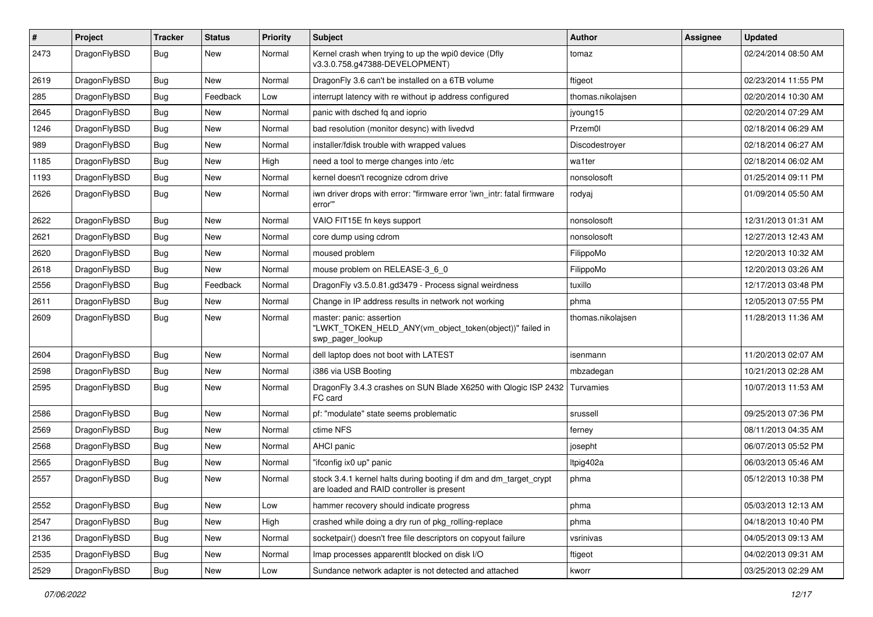| $\sharp$ | Project      | <b>Tracker</b> | <b>Status</b> | <b>Priority</b> | Subject                                                                                                        | <b>Author</b>     | Assignee | <b>Updated</b>      |
|----------|--------------|----------------|---------------|-----------------|----------------------------------------------------------------------------------------------------------------|-------------------|----------|---------------------|
| 2473     | DragonFlyBSD | Bug            | New           | Normal          | Kernel crash when trying to up the wpi0 device (Dfly<br>v3.3.0.758.g47388-DEVELOPMENT)                         | tomaz             |          | 02/24/2014 08:50 AM |
| 2619     | DragonFlyBSD | Bug            | <b>New</b>    | Normal          | DragonFly 3.6 can't be installed on a 6TB volume                                                               | ftigeot           |          | 02/23/2014 11:55 PM |
| 285      | DragonFlyBSD | <b>Bug</b>     | Feedback      | Low             | interrupt latency with re without ip address configured                                                        | thomas.nikolajsen |          | 02/20/2014 10:30 AM |
| 2645     | DragonFlyBSD | Bug            | New           | Normal          | panic with dsched fq and ioprio                                                                                | jyoung15          |          | 02/20/2014 07:29 AM |
| 1246     | DragonFlyBSD | <b>Bug</b>     | New           | Normal          | bad resolution (monitor desync) with livedvd                                                                   | Przem0l           |          | 02/18/2014 06:29 AM |
| 989      | DragonFlyBSD | Bug            | New           | Normal          | installer/fdisk trouble with wrapped values                                                                    | Discodestroyer    |          | 02/18/2014 06:27 AM |
| 1185     | DragonFlyBSD | <b>Bug</b>     | New           | High            | need a tool to merge changes into /etc                                                                         | wa1ter            |          | 02/18/2014 06:02 AM |
| 1193     | DragonFlyBSD | <b>Bug</b>     | New           | Normal          | kernel doesn't recognize cdrom drive                                                                           | nonsolosoft       |          | 01/25/2014 09:11 PM |
| 2626     | DragonFlyBSD | Bug            | <b>New</b>    | Normal          | iwn driver drops with error: "firmware error 'iwn_intr: fatal firmware<br>error"                               | rodyaj            |          | 01/09/2014 05:50 AM |
| 2622     | DragonFlyBSD | Bug            | <b>New</b>    | Normal          | VAIO FIT15E fn keys support                                                                                    | nonsolosoft       |          | 12/31/2013 01:31 AM |
| 2621     | DragonFlyBSD | Bug            | New           | Normal          | core dump using cdrom                                                                                          | nonsolosoft       |          | 12/27/2013 12:43 AM |
| 2620     | DragonFlyBSD | <b>Bug</b>     | New           | Normal          | moused problem                                                                                                 | FilippoMo         |          | 12/20/2013 10:32 AM |
| 2618     | DragonFlyBSD | Bug            | New           | Normal          | mouse problem on RELEASE-3_6_0                                                                                 | FilippoMo         |          | 12/20/2013 03:26 AM |
| 2556     | DragonFlyBSD | <b>Bug</b>     | Feedback      | Normal          | DragonFly v3.5.0.81.gd3479 - Process signal weirdness                                                          | tuxillo           |          | 12/17/2013 03:48 PM |
| 2611     | DragonFlyBSD | <b>Bug</b>     | New           | Normal          | Change in IP address results in network not working                                                            | phma              |          | 12/05/2013 07:55 PM |
| 2609     | DragonFlyBSD | Bug            | New           | Normal          | master: panic: assertion<br>"LWKT_TOKEN_HELD_ANY(vm_object_token(object))" failed in<br>swp_pager_lookup       | thomas.nikolajsen |          | 11/28/2013 11:36 AM |
| 2604     | DragonFlyBSD | Bug            | New           | Normal          | dell laptop does not boot with LATEST                                                                          | isenmann          |          | 11/20/2013 02:07 AM |
| 2598     | DragonFlyBSD | Bug            | New           | Normal          | i386 via USB Booting                                                                                           | mbzadegan         |          | 10/21/2013 02:28 AM |
| 2595     | DragonFlyBSD | Bug            | New           | Normal          | DragonFly 3.4.3 crashes on SUN Blade X6250 with Qlogic ISP 2432<br>FC card                                     | Turvamies         |          | 10/07/2013 11:53 AM |
| 2586     | DragonFlyBSD | Bug            | New           | Normal          | pf: "modulate" state seems problematic                                                                         | srussell          |          | 09/25/2013 07:36 PM |
| 2569     | DragonFlyBSD | Bug            | <b>New</b>    | Normal          | ctime NFS                                                                                                      | ferney            |          | 08/11/2013 04:35 AM |
| 2568     | DragonFlyBSD | Bug            | New           | Normal          | AHCI panic                                                                                                     | josepht           |          | 06/07/2013 05:52 PM |
| 2565     | DragonFlyBSD | Bug            | <b>New</b>    | Normal          | "ifconfig ix0 up" panic                                                                                        | Itpig402a         |          | 06/03/2013 05:46 AM |
| 2557     | DragonFlyBSD | Bug            | New           | Normal          | stock 3.4.1 kernel halts during booting if dm and dm_target_crypt<br>are loaded and RAID controller is present | phma              |          | 05/12/2013 10:38 PM |
| 2552     | DragonFlyBSD | Bug            | New           | Low             | hammer recovery should indicate progress                                                                       | phma              |          | 05/03/2013 12:13 AM |
| 2547     | DragonFlyBSD | Bug            | New           | High            | crashed while doing a dry run of pkg rolling-replace                                                           | phma              |          | 04/18/2013 10:40 PM |
| 2136     | DragonFlyBSD | <b>Bug</b>     | New           | Normal          | socketpair() doesn't free file descriptors on copyout failure                                                  | vsrinivas         |          | 04/05/2013 09:13 AM |
| 2535     | DragonFlyBSD | <b>Bug</b>     | <b>New</b>    | Normal          | Imap processes apparentlt blocked on disk I/O                                                                  | ftigeot           |          | 04/02/2013 09:31 AM |
| 2529     | DragonFlyBSD | <b>Bug</b>     | New           | Low             | Sundance network adapter is not detected and attached                                                          | kworr             |          | 03/25/2013 02:29 AM |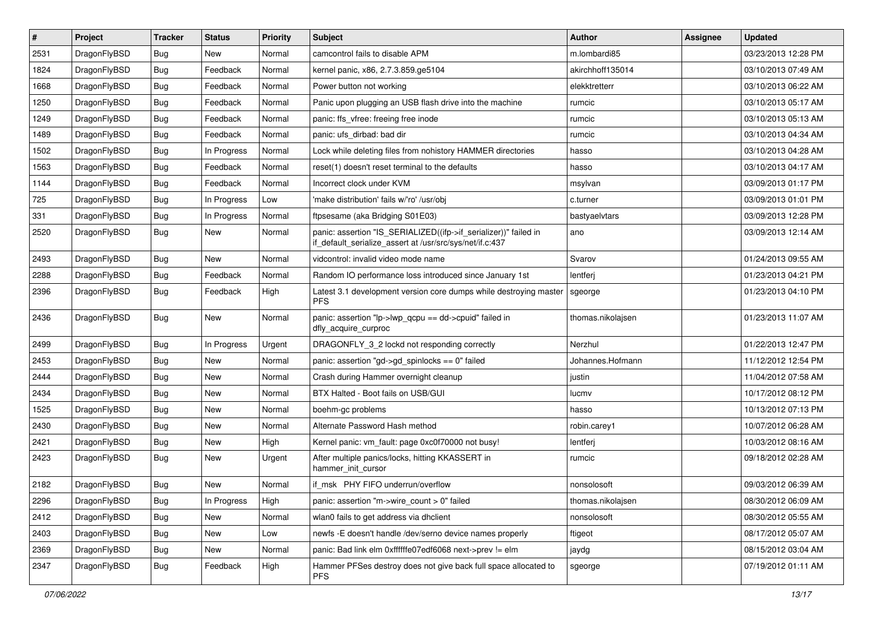| $\sharp$ | Project      | <b>Tracker</b> | <b>Status</b> | <b>Priority</b> | Subject                                                                                                                      | <b>Author</b>     | Assignee | <b>Updated</b>      |
|----------|--------------|----------------|---------------|-----------------|------------------------------------------------------------------------------------------------------------------------------|-------------------|----------|---------------------|
| 2531     | DragonFlyBSD | Bug            | New           | Normal          | camcontrol fails to disable APM                                                                                              | m.lombardi85      |          | 03/23/2013 12:28 PM |
| 1824     | DragonFlyBSD | Bug            | Feedback      | Normal          | kernel panic, x86, 2.7.3.859.ge5104                                                                                          | akirchhoff135014  |          | 03/10/2013 07:49 AM |
| 1668     | DragonFlyBSD | Bug            | Feedback      | Normal          | Power button not working                                                                                                     | elekktretterr     |          | 03/10/2013 06:22 AM |
| 1250     | DragonFlyBSD | <b>Bug</b>     | Feedback      | Normal          | Panic upon plugging an USB flash drive into the machine                                                                      | rumcic            |          | 03/10/2013 05:17 AM |
| 1249     | DragonFlyBSD | Bug            | Feedback      | Normal          | panic: ffs_vfree: freeing free inode                                                                                         | rumcic            |          | 03/10/2013 05:13 AM |
| 1489     | DragonFlyBSD | Bug            | Feedback      | Normal          | panic: ufs dirbad: bad dir                                                                                                   | rumcic            |          | 03/10/2013 04:34 AM |
| 1502     | DragonFlyBSD | Bug            | In Progress   | Normal          | Lock while deleting files from nohistory HAMMER directories                                                                  | hasso             |          | 03/10/2013 04:28 AM |
| 1563     | DragonFlyBSD | <b>Bug</b>     | Feedback      | Normal          | reset(1) doesn't reset terminal to the defaults                                                                              | hasso             |          | 03/10/2013 04:17 AM |
| 1144     | DragonFlyBSD | <b>Bug</b>     | Feedback      | Normal          | Incorrect clock under KVM                                                                                                    | msylvan           |          | 03/09/2013 01:17 PM |
| 725      | DragonFlyBSD | Bug            | In Progress   | Low             | 'make distribution' fails w/'ro' /usr/obj                                                                                    | c.turner          |          | 03/09/2013 01:01 PM |
| 331      | DragonFlyBSD | <b>Bug</b>     | In Progress   | Normal          | ftpsesame (aka Bridging S01E03)                                                                                              | bastyaelvtars     |          | 03/09/2013 12:28 PM |
| 2520     | DragonFlyBSD | Bug            | <b>New</b>    | Normal          | panic: assertion "IS_SERIALIZED((ifp->if_serializer))" failed in<br>if_default_serialize_assert at /usr/src/sys/net/if.c:437 | ano               |          | 03/09/2013 12:14 AM |
| 2493     | DragonFlyBSD | <b>Bug</b>     | New           | Normal          | vidcontrol: invalid video mode name                                                                                          | Svarov            |          | 01/24/2013 09:55 AM |
| 2288     | DragonFlyBSD | Bug            | Feedback      | Normal          | Random IO performance loss introduced since January 1st                                                                      | lentferj          |          | 01/23/2013 04:21 PM |
| 2396     | DragonFlyBSD | Bug            | Feedback      | High            | Latest 3.1 development version core dumps while destroying master<br><b>PFS</b>                                              | sgeorge           |          | 01/23/2013 04:10 PM |
| 2436     | DragonFlyBSD | <b>Bug</b>     | New           | Normal          | panic: assertion "lp->lwp_qcpu == dd->cpuid" failed in<br>dfly_acquire_curproc                                               | thomas.nikolajsen |          | 01/23/2013 11:07 AM |
| 2499     | DragonFlyBSD | Bug            | In Progress   | Urgent          | DRAGONFLY_3_2 lockd not responding correctly                                                                                 | Nerzhul           |          | 01/22/2013 12:47 PM |
| 2453     | DragonFlyBSD | Bug            | New           | Normal          | panic: assertion "gd->gd_spinlocks == 0" failed                                                                              | Johannes.Hofmann  |          | 11/12/2012 12:54 PM |
| 2444     | DragonFlyBSD | Bug            | New           | Normal          | Crash during Hammer overnight cleanup                                                                                        | justin            |          | 11/04/2012 07:58 AM |
| 2434     | DragonFlyBSD | Bug            | New           | Normal          | BTX Halted - Boot fails on USB/GUI                                                                                           | lucmv             |          | 10/17/2012 08:12 PM |
| 1525     | DragonFlyBSD | <b>Bug</b>     | New           | Normal          | boehm-gc problems                                                                                                            | hasso             |          | 10/13/2012 07:13 PM |
| 2430     | DragonFlyBSD | Bug            | New           | Normal          | Alternate Password Hash method                                                                                               | robin.carey1      |          | 10/07/2012 06:28 AM |
| 2421     | DragonFlyBSD | Bug            | <b>New</b>    | High            | Kernel panic: vm_fault: page 0xc0f70000 not busy!                                                                            | lentferj          |          | 10/03/2012 08:16 AM |
| 2423     | DragonFlyBSD | <b>Bug</b>     | New           | Urgent          | After multiple panics/locks, hitting KKASSERT in<br>hammer init cursor                                                       | rumcic            |          | 09/18/2012 02:28 AM |
| 2182     | DragonFlyBSD | Bug            | New           | Normal          | if msk PHY FIFO underrun/overflow                                                                                            | nonsolosoft       |          | 09/03/2012 06:39 AM |
| 2296     | DragonFlyBSD | <b>Bug</b>     | In Progress   | High            | panic: assertion "m->wire count > 0" failed                                                                                  | thomas.nikolajsen |          | 08/30/2012 06:09 AM |
| 2412     | DragonFlyBSD | <b>Bug</b>     | New           | Normal          | wlan0 fails to get address via dhclient                                                                                      | nonsolosoft       |          | 08/30/2012 05:55 AM |
| 2403     | DragonFlyBSD | <b>Bug</b>     | <b>New</b>    | Low             | newfs -E doesn't handle /dev/serno device names properly                                                                     | ftigeot           |          | 08/17/2012 05:07 AM |
| 2369     | DragonFlyBSD | Bug            | New           | Normal          | panic: Bad link elm 0xffffffe07edf6068 next->prev != elm                                                                     | jaydg             |          | 08/15/2012 03:04 AM |
| 2347     | DragonFlyBSD | <b>Bug</b>     | Feedback      | High            | Hammer PFSes destroy does not give back full space allocated to<br><b>PFS</b>                                                | sgeorge           |          | 07/19/2012 01:11 AM |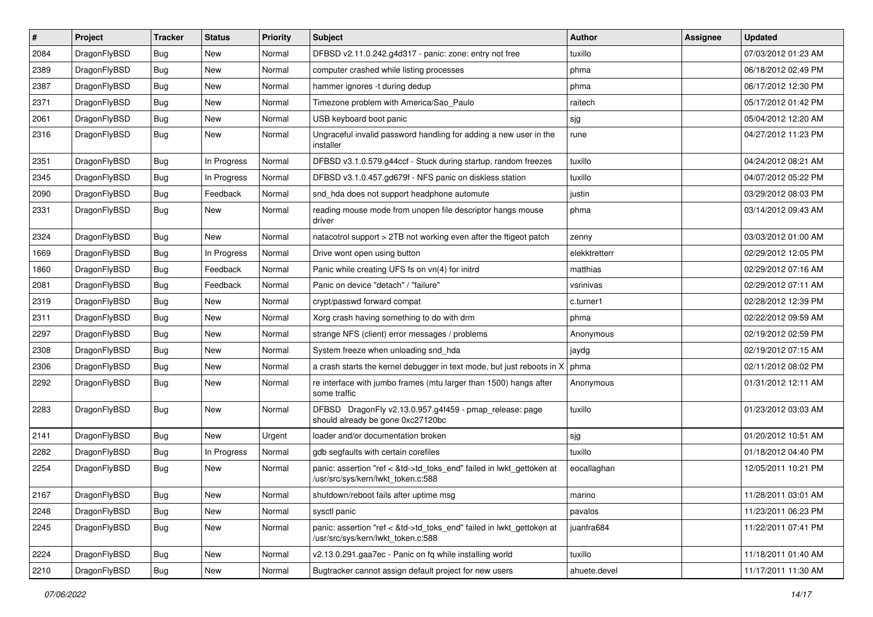| $\pmb{\#}$ | Project      | <b>Tracker</b> | <b>Status</b> | <b>Priority</b> | Subject                                                                                                    | Author        | Assignee | <b>Updated</b>      |
|------------|--------------|----------------|---------------|-----------------|------------------------------------------------------------------------------------------------------------|---------------|----------|---------------------|
| 2084       | DragonFlyBSD | Bug            | <b>New</b>    | Normal          | DFBSD v2.11.0.242.g4d317 - panic: zone: entry not free                                                     | tuxillo       |          | 07/03/2012 01:23 AM |
| 2389       | DragonFlyBSD | Bug            | <b>New</b>    | Normal          | computer crashed while listing processes                                                                   | phma          |          | 06/18/2012 02:49 PM |
| 2387       | DragonFlyBSD | Bug            | New           | Normal          | hammer ignores -t during dedup                                                                             | phma          |          | 06/17/2012 12:30 PM |
| 2371       | DragonFlyBSD | Bug            | <b>New</b>    | Normal          | Timezone problem with America/Sao_Paulo                                                                    | raitech       |          | 05/17/2012 01:42 PM |
| 2061       | DragonFlyBSD | Bug            | New           | Normal          | USB keyboard boot panic                                                                                    | sjg           |          | 05/04/2012 12:20 AM |
| 2316       | DragonFlyBSD | Bug            | New           | Normal          | Ungraceful invalid password handling for adding a new user in the<br>installer                             | rune          |          | 04/27/2012 11:23 PM |
| 2351       | DragonFlyBSD | <b>Bug</b>     | In Progress   | Normal          | DFBSD v3.1.0.579.g44ccf - Stuck during startup, random freezes                                             | tuxillo       |          | 04/24/2012 08:21 AM |
| 2345       | DragonFlyBSD | Bug            | In Progress   | Normal          | DFBSD v3.1.0.457.gd679f - NFS panic on diskless station                                                    | tuxillo       |          | 04/07/2012 05:22 PM |
| 2090       | DragonFlyBSD | <b>Bug</b>     | Feedback      | Normal          | snd_hda does not support headphone automute                                                                | justin        |          | 03/29/2012 08:03 PM |
| 2331       | DragonFlyBSD | <b>Bug</b>     | New           | Normal          | reading mouse mode from unopen file descriptor hangs mouse<br>driver                                       | phma          |          | 03/14/2012 09:43 AM |
| 2324       | DragonFlyBSD | <b>Bug</b>     | New           | Normal          | natacotrol support > 2TB not working even after the ftigeot patch                                          | zenny         |          | 03/03/2012 01:00 AM |
| 1669       | DragonFlyBSD | <b>Bug</b>     | In Progress   | Normal          | Drive wont open using button                                                                               | elekktretterr |          | 02/29/2012 12:05 PM |
| 1860       | DragonFlyBSD | Bug            | Feedback      | Normal          | Panic while creating UFS fs on vn(4) for initrd                                                            | matthias      |          | 02/29/2012 07:16 AM |
| 2081       | DragonFlyBSD | <b>Bug</b>     | Feedback      | Normal          | Panic on device "detach" / "failure"                                                                       | vsrinivas     |          | 02/29/2012 07:11 AM |
| 2319       | DragonFlyBSD | Bug            | New           | Normal          | crypt/passwd forward compat                                                                                | c.turner1     |          | 02/28/2012 12:39 PM |
| 2311       | DragonFlyBSD | Bug            | <b>New</b>    | Normal          | Xorg crash having something to do with drm                                                                 | phma          |          | 02/22/2012 09:59 AM |
| 2297       | DragonFlyBSD | <b>Bug</b>     | New           | Normal          | strange NFS (client) error messages / problems                                                             | Anonymous     |          | 02/19/2012 02:59 PM |
| 2308       | DragonFlyBSD | Bug            | <b>New</b>    | Normal          | System freeze when unloading snd_hda                                                                       | jaydg         |          | 02/19/2012 07:15 AM |
| 2306       | DragonFlyBSD | <b>Bug</b>     | New           | Normal          | a crash starts the kernel debugger in text mode, but just reboots in X                                     | phma          |          | 02/11/2012 08:02 PM |
| 2292       | DragonFlyBSD | Bug            | New           | Normal          | re interface with jumbo frames (mtu larger than 1500) hangs after<br>some traffic                          | Anonymous     |          | 01/31/2012 12:11 AM |
| 2283       | DragonFlyBSD | Bug            | <b>New</b>    | Normal          | DFBSD DragonFly v2.13.0.957.g4f459 - pmap_release: page<br>should already be gone 0xc27120bc               | tuxillo       |          | 01/23/2012 03:03 AM |
| 2141       | DragonFlyBSD | <b>Bug</b>     | <b>New</b>    | Urgent          | loader and/or documentation broken                                                                         | sjg           |          | 01/20/2012 10:51 AM |
| 2282       | DragonFlyBSD | <b>Bug</b>     | In Progress   | Normal          | gdb segfaults with certain corefiles                                                                       | tuxillo       |          | 01/18/2012 04:40 PM |
| 2254       | DragonFlyBSD | Bug            | New           | Normal          | panic: assertion "ref < &td->td_toks_end" failed in lwkt_gettoken at<br>/usr/src/sys/kern/lwkt token.c:588 | eocallaghan   |          | 12/05/2011 10:21 PM |
| 2167       | DragonFlyBSD | <b>Bug</b>     | New           | Normal          | shutdown/reboot fails after uptime msg                                                                     | marino        |          | 11/28/2011 03:01 AM |
| 2248       | DragonFlyBSD | <b>Bug</b>     | New           | Normal          | sysctl panic                                                                                               | pavalos       |          | 11/23/2011 06:23 PM |
| 2245       | DragonFlyBSD | Bug            | New           | Normal          | panic: assertion "ref < &td->td_toks_end" failed in lwkt_gettoken at<br>/usr/src/sys/kern/lwkt token.c:588 | juanfra684    |          | 11/22/2011 07:41 PM |
| 2224       | DragonFlyBSD | <b>Bug</b>     | New           | Normal          | v2.13.0.291.gaa7ec - Panic on fq while installing world                                                    | tuxillo       |          | 11/18/2011 01:40 AM |
| 2210       | DragonFlyBSD | <b>Bug</b>     | New           | Normal          | Bugtracker cannot assign default project for new users                                                     | ahuete.devel  |          | 11/17/2011 11:30 AM |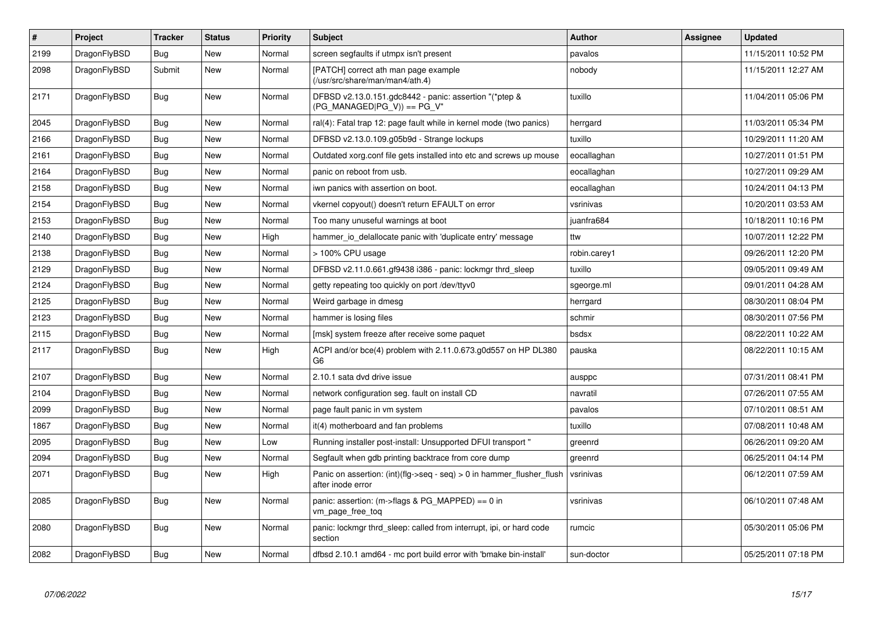| $\vert$ # | Project      | <b>Tracker</b> | <b>Status</b> | <b>Priority</b> | <b>Subject</b>                                                                             | <b>Author</b> | Assignee | <b>Updated</b>      |
|-----------|--------------|----------------|---------------|-----------------|--------------------------------------------------------------------------------------------|---------------|----------|---------------------|
| 2199      | DragonFlyBSD | <b>Bug</b>     | <b>New</b>    | Normal          | screen segfaults if utmpx isn't present                                                    | pavalos       |          | 11/15/2011 10:52 PM |
| 2098      | DragonFlyBSD | Submit         | New           | Normal          | [PATCH] correct ath man page example<br>(/usr/src/share/man/man4/ath.4)                    | nobody        |          | 11/15/2011 12:27 AM |
| 2171      | DragonFlyBSD | <b>Bug</b>     | New           | Normal          | DFBSD v2.13.0.151.gdc8442 - panic: assertion "(*ptep &<br>(PG_MANAGED PG_V)) == PG_V"      | tuxillo       |          | 11/04/2011 05:06 PM |
| 2045      | DragonFlyBSD | Bug            | New           | Normal          | ral(4): Fatal trap 12: page fault while in kernel mode (two panics)                        | herrgard      |          | 11/03/2011 05:34 PM |
| 2166      | DragonFlyBSD | Bug            | New           | Normal          | DFBSD v2.13.0.109.g05b9d - Strange lockups                                                 | tuxillo       |          | 10/29/2011 11:20 AM |
| 2161      | DragonFlyBSD | Bug            | New           | Normal          | Outdated xorg.conf file gets installed into etc and screws up mouse                        | eocallaghan   |          | 10/27/2011 01:51 PM |
| 2164      | DragonFlyBSD | Bug            | New           | Normal          | panic on reboot from usb.                                                                  | eocallaghan   |          | 10/27/2011 09:29 AM |
| 2158      | DragonFlyBSD | <b>Bug</b>     | New           | Normal          | iwn panics with assertion on boot.                                                         | eocallaghan   |          | 10/24/2011 04:13 PM |
| 2154      | DragonFlyBSD | Bug            | <b>New</b>    | Normal          | vkernel copyout() doesn't return EFAULT on error                                           | vsrinivas     |          | 10/20/2011 03:53 AM |
| 2153      | DragonFlyBSD | <b>Bug</b>     | <b>New</b>    | Normal          | Too many unuseful warnings at boot                                                         | juanfra684    |          | 10/18/2011 10:16 PM |
| 2140      | DragonFlyBSD | Bug            | New           | High            | hammer io delallocate panic with 'duplicate entry' message                                 | ttw           |          | 10/07/2011 12:22 PM |
| 2138      | DragonFlyBSD | <b>Bug</b>     | New           | Normal          | > 100% CPU usage                                                                           | robin.carey1  |          | 09/26/2011 12:20 PM |
| 2129      | DragonFlyBSD | Bug            | <b>New</b>    | Normal          | DFBSD v2.11.0.661.gf9438 i386 - panic: lockmgr thrd_sleep                                  | tuxillo       |          | 09/05/2011 09:49 AM |
| 2124      | DragonFlyBSD | <b>Bug</b>     | <b>New</b>    | Normal          | getty repeating too quickly on port /dev/ttyv0                                             | sgeorge.ml    |          | 09/01/2011 04:28 AM |
| 2125      | DragonFlyBSD | <b>Bug</b>     | New           | Normal          | Weird garbage in dmesg                                                                     | herrgard      |          | 08/30/2011 08:04 PM |
| 2123      | DragonFlyBSD | <b>Bug</b>     | <b>New</b>    | Normal          | hammer is losing files                                                                     | schmir        |          | 08/30/2011 07:56 PM |
| 2115      | DragonFlyBSD | Bug            | New           | Normal          | [msk] system freeze after receive some paquet                                              | bsdsx         |          | 08/22/2011 10:22 AM |
| 2117      | DragonFlyBSD | <b>Bug</b>     | New           | High            | ACPI and/or bce(4) problem with 2.11.0.673.g0d557 on HP DL380<br>G <sub>6</sub>            | pauska        |          | 08/22/2011 10:15 AM |
| 2107      | DragonFlyBSD | <b>Bug</b>     | New           | Normal          | 2.10.1 sata dvd drive issue                                                                | ausppc        |          | 07/31/2011 08:41 PM |
| 2104      | DragonFlyBSD | Bug            | New           | Normal          | network configuration seg. fault on install CD                                             | navratil      |          | 07/26/2011 07:55 AM |
| 2099      | DragonFlyBSD | Bug            | New           | Normal          | page fault panic in vm system                                                              | pavalos       |          | 07/10/2011 08:51 AM |
| 1867      | DragonFlyBSD | Bug            | New           | Normal          | it(4) motherboard and fan problems                                                         | tuxillo       |          | 07/08/2011 10:48 AM |
| 2095      | DragonFlyBSD | <b>Bug</b>     | New           | Low             | Running installer post-install: Unsupported DFUI transport "                               | greenrd       |          | 06/26/2011 09:20 AM |
| 2094      | DragonFlyBSD | Bug            | New           | Normal          | Segfault when gdb printing backtrace from core dump                                        | greenrd       |          | 06/25/2011 04:14 PM |
| 2071      | DragonFlyBSD | <b>Bug</b>     | New           | High            | Panic on assertion: (int)(flg->seq - seq) > 0 in hammer_flusher_flush<br>after inode error | vsrinivas     |          | 06/12/2011 07:59 AM |
| 2085      | DragonFlyBSD | <b>Bug</b>     | <b>New</b>    | Normal          | panic: assertion: (m->flags & PG_MAPPED) == 0 in<br>vm page free tog                       | vsrinivas     |          | 06/10/2011 07:48 AM |
| 2080      | DragonFlyBSD | Bug            | New           | Normal          | panic: lockmgr thrd sleep: called from interrupt, ipi, or hard code<br>section             | rumcic        |          | 05/30/2011 05:06 PM |
| 2082      | DragonFlyBSD | <b>Bug</b>     | New           | Normal          | dfbsd 2.10.1 amd64 - mc port build error with 'bmake bin-install'                          | sun-doctor    |          | 05/25/2011 07:18 PM |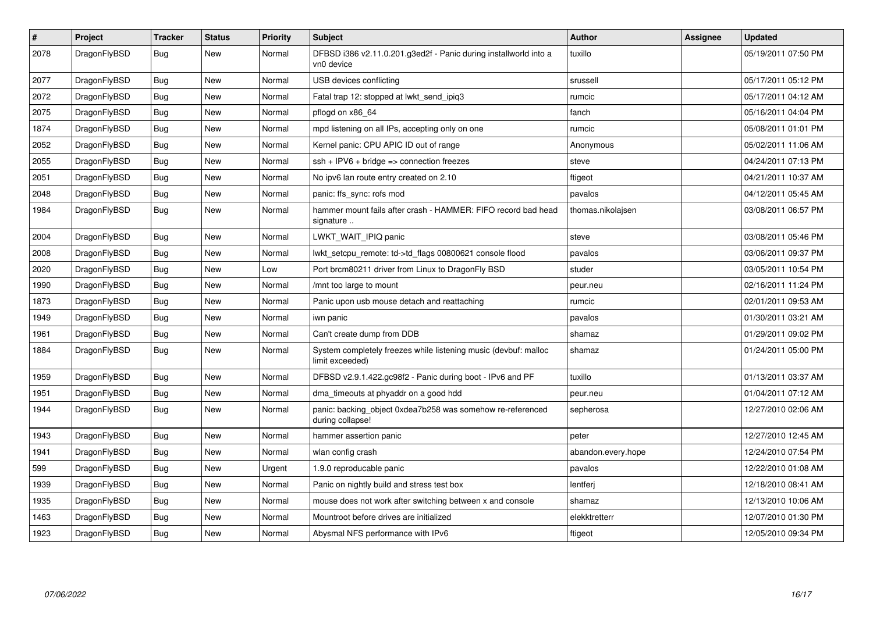| $\vert$ # | Project      | <b>Tracker</b> | <b>Status</b> | <b>Priority</b> | <b>Subject</b>                                                                     | <b>Author</b>      | Assignee | <b>Updated</b>      |
|-----------|--------------|----------------|---------------|-----------------|------------------------------------------------------------------------------------|--------------------|----------|---------------------|
| 2078      | DragonFlyBSD | Bug            | New           | Normal          | DFBSD i386 v2.11.0.201.g3ed2f - Panic during installworld into a<br>vn0 device     | tuxillo            |          | 05/19/2011 07:50 PM |
| 2077      | DragonFlyBSD | <b>Bug</b>     | <b>New</b>    | Normal          | USB devices conflicting                                                            | srussell           |          | 05/17/2011 05:12 PM |
| 2072      | DragonFlyBSD | Bug            | <b>New</b>    | Normal          | Fatal trap 12: stopped at lwkt_send_ipiq3                                          | rumcic             |          | 05/17/2011 04:12 AM |
| 2075      | DragonFlyBSD | Bug            | <b>New</b>    | Normal          | pflogd on x86 64                                                                   | fanch              |          | 05/16/2011 04:04 PM |
| 1874      | DragonFlyBSD | <b>Bug</b>     | <b>New</b>    | Normal          | mpd listening on all IPs, accepting only on one                                    | rumcic             |          | 05/08/2011 01:01 PM |
| 2052      | DragonFlyBSD | Bug            | <b>New</b>    | Normal          | Kernel panic: CPU APIC ID out of range                                             | Anonymous          |          | 05/02/2011 11:06 AM |
| 2055      | DragonFlyBSD | Bug            | New           | Normal          | $\operatorname{csh}$ + IPV6 + bridge => connection freezes                         | steve              |          | 04/24/2011 07:13 PM |
| 2051      | DragonFlyBSD | Bug            | <b>New</b>    | Normal          | No ipv6 lan route entry created on 2.10                                            | ftigeot            |          | 04/21/2011 10:37 AM |
| 2048      | DragonFlyBSD | <b>Bug</b>     | <b>New</b>    | Normal          | panic: ffs sync: rofs mod                                                          | pavalos            |          | 04/12/2011 05:45 AM |
| 1984      | DragonFlyBSD | Bug            | New           | Normal          | hammer mount fails after crash - HAMMER: FIFO record bad head<br>signature         | thomas.nikolajsen  |          | 03/08/2011 06:57 PM |
| 2004      | DragonFlyBSD | <b>Bug</b>     | New           | Normal          | LWKT_WAIT_IPIQ panic                                                               | steve              |          | 03/08/2011 05:46 PM |
| 2008      | DragonFlyBSD | <b>Bug</b>     | <b>New</b>    | Normal          | lwkt_setcpu_remote: td->td_flags 00800621 console flood                            | pavalos            |          | 03/06/2011 09:37 PM |
| 2020      | DragonFlyBSD | <b>Bug</b>     | <b>New</b>    | Low             | Port brcm80211 driver from Linux to DragonFly BSD                                  | studer             |          | 03/05/2011 10:54 PM |
| 1990      | DragonFlyBSD | Bug            | <b>New</b>    | Normal          | /mnt too large to mount                                                            | peur.neu           |          | 02/16/2011 11:24 PM |
| 1873      | DragonFlyBSD | Bug            | <b>New</b>    | Normal          | Panic upon usb mouse detach and reattaching                                        | rumcic             |          | 02/01/2011 09:53 AM |
| 1949      | DragonFlyBSD | <b>Bug</b>     | <b>New</b>    | Normal          | iwn panic                                                                          | pavalos            |          | 01/30/2011 03:21 AM |
| 1961      | DragonFlyBSD | Bug            | New           | Normal          | Can't create dump from DDB                                                         | shamaz             |          | 01/29/2011 09:02 PM |
| 1884      | DragonFlyBSD | Bug            | <b>New</b>    | Normal          | System completely freezes while listening music (devbuf: malloc<br>limit exceeded) | shamaz             |          | 01/24/2011 05:00 PM |
| 1959      | DragonFlyBSD | <b>Bug</b>     | <b>New</b>    | Normal          | DFBSD v2.9.1.422.gc98f2 - Panic during boot - IPv6 and PF                          | tuxillo            |          | 01/13/2011 03:37 AM |
| 1951      | DragonFlyBSD | Bug            | <b>New</b>    | Normal          | dma_timeouts at phyaddr on a good hdd                                              | peur.neu           |          | 01/04/2011 07:12 AM |
| 1944      | DragonFlyBSD | Bug            | New           | Normal          | panic: backing object 0xdea7b258 was somehow re-referenced<br>during collapse!     | sepherosa          |          | 12/27/2010 02:06 AM |
| 1943      | DragonFlyBSD | Bug            | New           | Normal          | hammer assertion panic                                                             | peter              |          | 12/27/2010 12:45 AM |
| 1941      | DragonFlyBSD | <b>Bug</b>     | <b>New</b>    | Normal          | wlan config crash                                                                  | abandon.every.hope |          | 12/24/2010 07:54 PM |
| 599       | DragonFlyBSD | Bug            | <b>New</b>    | Urgent          | 1.9.0 reproducable panic                                                           | pavalos            |          | 12/22/2010 01:08 AM |
| 1939      | DragonFlyBSD | Bug            | New           | Normal          | Panic on nightly build and stress test box                                         | lentferj           |          | 12/18/2010 08:41 AM |
| 1935      | DragonFlyBSD | <b>Bug</b>     | <b>New</b>    | Normal          | mouse does not work after switching between x and console                          | shamaz             |          | 12/13/2010 10:06 AM |
| 1463      | DragonFlyBSD | Bug            | New           | Normal          | Mountroot before drives are initialized                                            | elekktretterr      |          | 12/07/2010 01:30 PM |
| 1923      | DragonFlyBSD | <b>Bug</b>     | <b>New</b>    | Normal          | Abysmal NFS performance with IPv6                                                  | ftigeot            |          | 12/05/2010 09:34 PM |